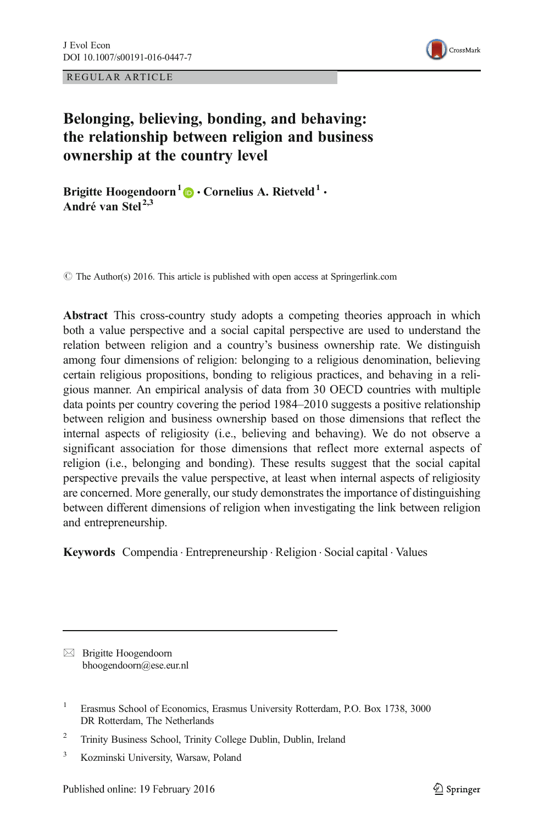REGULAR ARTICLE



# Belonging, believing, bonding, and behaving: the relationship between religion and business ownership at the country level

Brigitte Hoogendoorn<sup>1</sup>  $\bigcirc$  Cornelius A. Rietveld<sup>1</sup>  $\cdot$ André van Stel 2,3

 $\odot$  The Author(s) 2016. This article is published with open access at Springerlink.com

Abstract This cross-country study adopts a competing theories approach in which both a value perspective and a social capital perspective are used to understand the relation between religion and a country's business ownership rate. We distinguish among four dimensions of religion: belonging to a religious denomination, believing certain religious propositions, bonding to religious practices, and behaving in a religious manner. An empirical analysis of data from 30 OECD countries with multiple data points per country covering the period 1984–2010 suggests a positive relationship between religion and business ownership based on those dimensions that reflect the internal aspects of religiosity (i.e., believing and behaving). We do not observe a significant association for those dimensions that reflect more external aspects of religion (i.e., belonging and bonding). These results suggest that the social capital perspective prevails the value perspective, at least when internal aspects of religiosity are concerned. More generally, our study demonstrates the importance of distinguishing between different dimensions of religion when investigating the link between religion and entrepreneurship.

Keywords Compendia . Entrepreneurship . Religion . Social capital . Values

 $\boxtimes$  Brigitte Hoogendoorn bhoogendoorn@ese.eur.nl

<sup>&</sup>lt;sup>1</sup> Erasmus School of Economics, Erasmus University Rotterdam, P.O. Box 1738, 3000 DR Rotterdam, The Netherlands

<sup>&</sup>lt;sup>2</sup> Trinity Business School, Trinity College Dublin, Dublin, Ireland

<sup>3</sup> Kozminski University, Warsaw, Poland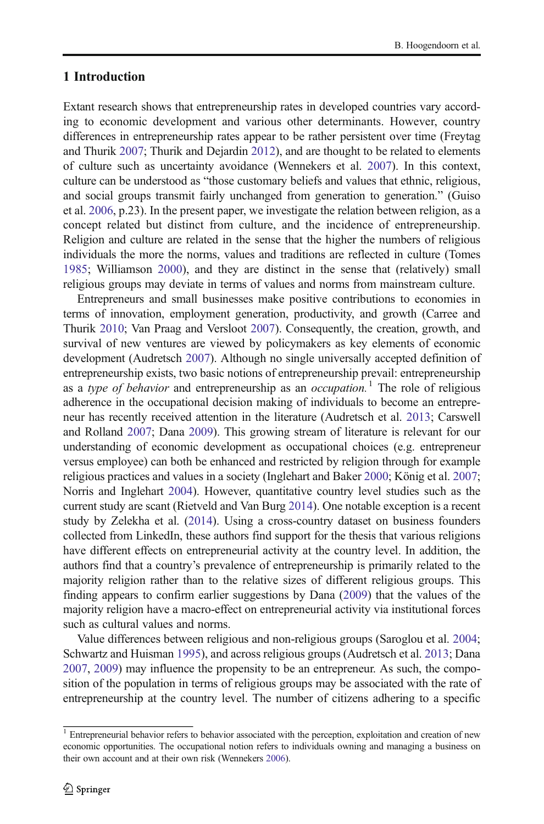# 1 Introduction

Extant research shows that entrepreneurship rates in developed countries vary according to economic development and various other determinants. However, country differences in entrepreneurship rates appear to be rather persistent over time (Freytag and Thurik [2007](#page-29-0); Thurik and Dejardin [2012\)](#page-30-0), and are thought to be related to elements of culture such as uncertainty avoidance (Wennekers et al. [2007\)](#page-31-0). In this context, culture can be understood as "those customary beliefs and values that ethnic, religious, and social groups transmit fairly unchanged from generation to generation." (Guiso et al. [2006](#page-29-0), p.23). In the present paper, we investigate the relation between religion, as a concept related but distinct from culture, and the incidence of entrepreneurship. Religion and culture are related in the sense that the higher the numbers of religious individuals the more the norms, values and traditions are reflected in culture (Tomes [1985;](#page-30-0) Williamson [2000](#page-31-0)), and they are distinct in the sense that (relatively) small religious groups may deviate in terms of values and norms from mainstream culture.

Entrepreneurs and small businesses make positive contributions to economies in terms of innovation, employment generation, productivity, and growth (Carree and Thurik [2010](#page-28-0); Van Praag and Versloot [2007](#page-30-0)). Consequently, the creation, growth, and survival of new ventures are viewed by policymakers as key elements of economic development (Audretsch [2007\)](#page-28-0). Although no single universally accepted definition of entrepreneurship exists, two basic notions of entrepreneurship prevail: entrepreneurship as a type of behavior and entrepreneurship as an occupation.<sup>1</sup> The role of religious adherence in the occupational decision making of individuals to become an entrepreneur has recently received attention in the literature (Audretsch et al. [2013;](#page-28-0) Carswell and Rolland [2007](#page-29-0); Dana [2009](#page-29-0)). This growing stream of literature is relevant for our understanding of economic development as occupational choices (e.g. entrepreneur versus employee) can both be enhanced and restricted by religion through for example religious practices and values in a society (Inglehart and Baker [2000;](#page-29-0) König et al. [2007;](#page-29-0) Norris and Inglehart [2004\)](#page-30-0). However, quantitative country level studies such as the current study are scant (Rietveld and Van Burg [2014\)](#page-30-0). One notable exception is a recent study by Zelekha et al. [\(2014\)](#page-31-0). Using a cross-country dataset on business founders collected from LinkedIn, these authors find support for the thesis that various religions have different effects on entrepreneurial activity at the country level. In addition, the authors find that a country's prevalence of entrepreneurship is primarily related to the majority religion rather than to the relative sizes of different religious groups. This finding appears to confirm earlier suggestions by Dana [\(2009\)](#page-29-0) that the values of the majority religion have a macro-effect on entrepreneurial activity via institutional forces such as cultural values and norms.

Value differences between religious and non-religious groups (Saroglou et al. [2004;](#page-30-0) Schwartz and Huisman [1995](#page-30-0)), and across religious groups (Audretsch et al. [2013;](#page-28-0) Dana [2007,](#page-29-0) [2009\)](#page-29-0) may influence the propensity to be an entrepreneur. As such, the composition of the population in terms of religious groups may be associated with the rate of entrepreneurship at the country level. The number of citizens adhering to a specific

<sup>&</sup>lt;sup>1</sup> Entrepreneurial behavior refers to behavior associated with the perception, exploitation and creation of new economic opportunities. The occupational notion refers to individuals owning and managing a business on their own account and at their own risk (Wennekers [2006\)](#page-31-0).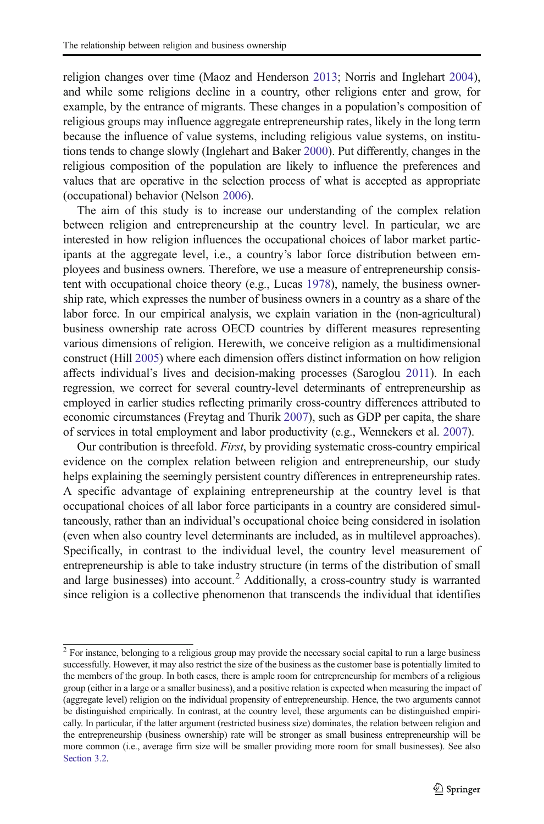religion changes over time (Maoz and Henderson [2013;](#page-30-0) Norris and Inglehart [2004\)](#page-30-0), and while some religions decline in a country, other religions enter and grow, for example, by the entrance of migrants. These changes in a population's composition of religious groups may influence aggregate entrepreneurship rates, likely in the long term because the influence of value systems, including religious value systems, on institutions tends to change slowly (Inglehart and Baker [2000](#page-29-0)). Put differently, changes in the religious composition of the population are likely to influence the preferences and values that are operative in the selection process of what is accepted as appropriate (occupational) behavior (Nelson [2006\)](#page-30-0).

The aim of this study is to increase our understanding of the complex relation between religion and entrepreneurship at the country level. In particular, we are interested in how religion influences the occupational choices of labor market participants at the aggregate level, i.e., a country's labor force distribution between employees and business owners. Therefore, we use a measure of entrepreneurship consistent with occupational choice theory (e.g., Lucas [1978](#page-30-0)), namely, the business ownership rate, which expresses the number of business owners in a country as a share of the labor force. In our empirical analysis, we explain variation in the (non-agricultural) business ownership rate across OECD countries by different measures representing various dimensions of religion. Herewith, we conceive religion as a multidimensional construct (Hill [2005\)](#page-29-0) where each dimension offers distinct information on how religion affects individual's lives and decision-making processes (Saroglou [2011\)](#page-30-0). In each regression, we correct for several country-level determinants of entrepreneurship as employed in earlier studies reflecting primarily cross-country differences attributed to economic circumstances (Freytag and Thurik [2007](#page-29-0)), such as GDP per capita, the share of services in total employment and labor productivity (e.g., Wennekers et al. [2007\)](#page-31-0).

Our contribution is threefold. First, by providing systematic cross-country empirical evidence on the complex relation between religion and entrepreneurship, our study helps explaining the seemingly persistent country differences in entrepreneurship rates. A specific advantage of explaining entrepreneurship at the country level is that occupational choices of all labor force participants in a country are considered simultaneously, rather than an individual's occupational choice being considered in isolation (even when also country level determinants are included, as in multilevel approaches). Specifically, in contrast to the individual level, the country level measurement of entrepreneurship is able to take industry structure (in terms of the distribution of small and large businesses) into account.<sup>2</sup> Additionally, a cross-country study is warranted since religion is a collective phenomenon that transcends the individual that identifies

<sup>&</sup>lt;sup>2</sup> For instance, belonging to a religious group may provide the necessary social capital to run a large business successfully. However, it may also restrict the size of the business as the customer base is potentially limited to the members of the group. In both cases, there is ample room for entrepreneurship for members of a religious group (either in a large or a smaller business), and a positive relation is expected when measuring the impact of (aggregate level) religion on the individual propensity of entrepreneurship. Hence, the two arguments cannot be distinguished empirically. In contrast, at the country level, these arguments can be distinguished empirically. In particular, if the latter argument (restricted business size) dominates, the relation between religion and the entrepreneurship (business ownership) rate will be stronger as small business entrepreneurship will be more common (i.e., average firm size will be smaller providing more room for small businesses). See also [Section 3.2.](#page-8-0)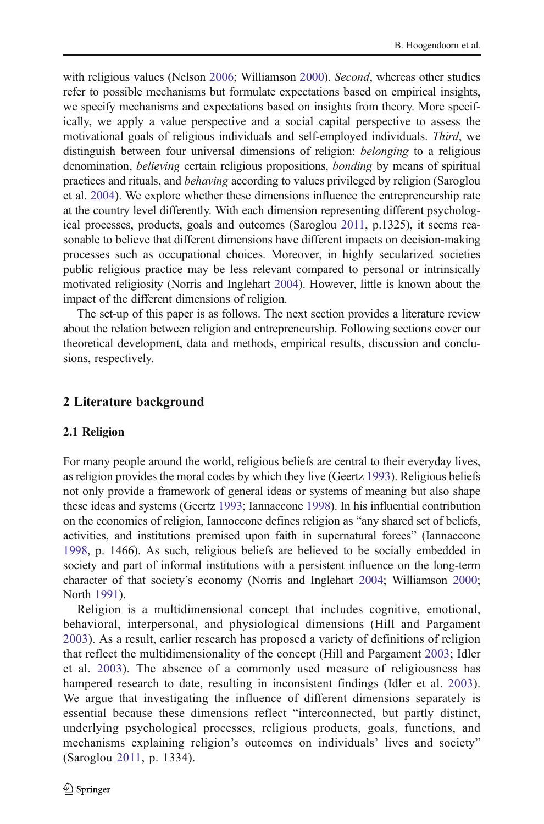with religious values (Nelson [2006;](#page-30-0) Williamson [2000\)](#page-31-0). Second, whereas other studies refer to possible mechanisms but formulate expectations based on empirical insights, we specify mechanisms and expectations based on insights from theory. More specifically, we apply a value perspective and a social capital perspective to assess the motivational goals of religious individuals and self-employed individuals. Third, we distinguish between four universal dimensions of religion: belonging to a religious denomination, believing certain religious propositions, bonding by means of spiritual practices and rituals, and behaving according to values privileged by religion (Saroglou et al. [2004\)](#page-30-0). We explore whether these dimensions influence the entrepreneurship rate at the country level differently. With each dimension representing different psychological processes, products, goals and outcomes (Saroglou [2011,](#page-30-0) p.1325), it seems reasonable to believe that different dimensions have different impacts on decision-making processes such as occupational choices. Moreover, in highly secularized societies public religious practice may be less relevant compared to personal or intrinsically motivated religiosity (Norris and Inglehart [2004](#page-30-0)). However, little is known about the impact of the different dimensions of religion.

The set-up of this paper is as follows. The next section provides a literature review about the relation between religion and entrepreneurship. Following sections cover our theoretical development, data and methods, empirical results, discussion and conclusions, respectively.

### 2 Literature background

### 2.1 Religion

For many people around the world, religious beliefs are central to their everyday lives, as religion provides the moral codes by which they live (Geertz [1993\)](#page-29-0). Religious beliefs not only provide a framework of general ideas or systems of meaning but also shape these ideas and systems (Geertz [1993;](#page-29-0) Iannaccone [1998](#page-29-0)). In his influential contribution on the economics of religion, Iannoccone defines religion as "any shared set of beliefs, activities, and institutions premised upon faith in supernatural forces" (Iannaccone [1998,](#page-29-0) p. 1466). As such, religious beliefs are believed to be socially embedded in society and part of informal institutions with a persistent influence on the long-term character of that society's economy (Norris and Inglehart [2004;](#page-30-0) Williamson [2000;](#page-31-0) North [1991](#page-30-0)).

Religion is a multidimensional concept that includes cognitive, emotional, behavioral, interpersonal, and physiological dimensions (Hill and Pargament [2003](#page-29-0)). As a result, earlier research has proposed a variety of definitions of religion that reflect the multidimensionality of the concept (Hill and Pargament [2003;](#page-29-0) Idler et al. [2003](#page-29-0)). The absence of a commonly used measure of religiousness has hampered research to date, resulting in inconsistent findings (Idler et al. [2003\)](#page-29-0). We argue that investigating the influence of different dimensions separately is essential because these dimensions reflect "interconnected, but partly distinct, underlying psychological processes, religious products, goals, functions, and mechanisms explaining religion's outcomes on individuals' lives and society" (Saroglou [2011](#page-30-0), p. 1334).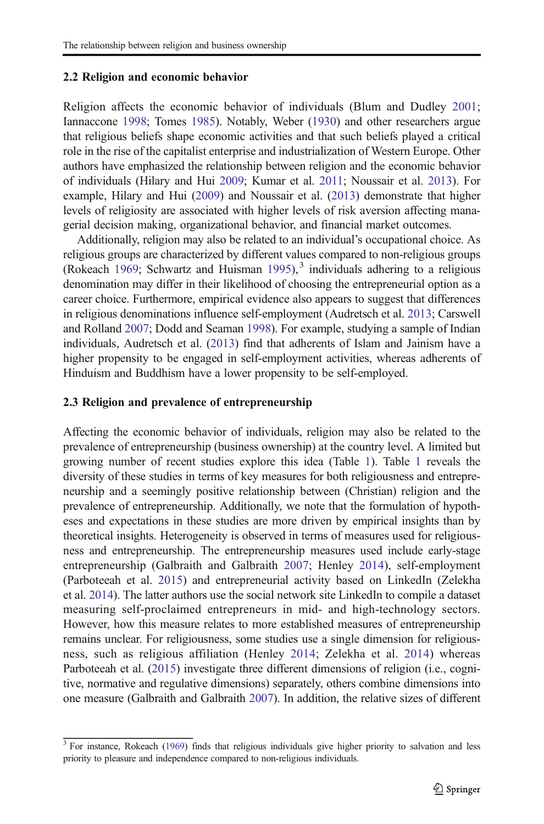### 2.2 Religion and economic behavior

Religion affects the economic behavior of individuals (Blum and Dudley [2001;](#page-28-0) Iannaccone [1998](#page-29-0); Tomes [1985\)](#page-30-0). Notably, Weber [\(1930\)](#page-31-0) and other researchers argue that religious beliefs shape economic activities and that such beliefs played a critical role in the rise of the capitalist enterprise and industrialization of Western Europe. Other authors have emphasized the relationship between religion and the economic behavior of individuals (Hilary and Hui [2009](#page-29-0); Kumar et al. [2011](#page-30-0); Noussair et al. [2013](#page-30-0)). For example, Hilary and Hui [\(2009\)](#page-29-0) and Noussair et al. ([2013](#page-30-0)) demonstrate that higher levels of religiosity are associated with higher levels of risk aversion affecting managerial decision making, organizational behavior, and financial market outcomes.

Additionally, religion may also be related to an individual's occupational choice. As religious groups are characterized by different values compared to non-religious groups (Rokeach [1969;](#page-30-0) Schwartz and Huisman [1995](#page-30-0)), <sup>3</sup> individuals adhering to a religious denomination may differ in their likelihood of choosing the entrepreneurial option as a career choice. Furthermore, empirical evidence also appears to suggest that differences in religious denominations influence self-employment (Audretsch et al. [2013;](#page-28-0) Carswell and Rolland [2007](#page-29-0); Dodd and Seaman [1998\)](#page-29-0). For example, studying a sample of Indian individuals, Audretsch et al. [\(2013\)](#page-28-0) find that adherents of Islam and Jainism have a higher propensity to be engaged in self-employment activities, whereas adherents of Hinduism and Buddhism have a lower propensity to be self-employed.

### 2.3 Religion and prevalence of entrepreneurship

Affecting the economic behavior of individuals, religion may also be related to the prevalence of entrepreneurship (business ownership) at the country level. A limited but growing number of recent studies explore this idea (Table [1\)](#page-5-0). Table [1](#page-5-0) reveals the diversity of these studies in terms of key measures for both religiousness and entrepreneurship and a seemingly positive relationship between (Christian) religion and the prevalence of entrepreneurship. Additionally, we note that the formulation of hypotheses and expectations in these studies are more driven by empirical insights than by theoretical insights. Heterogeneity is observed in terms of measures used for religiousness and entrepreneurship. The entrepreneurship measures used include early-stage entrepreneurship (Galbraith and Galbraith [2007;](#page-29-0) Henley [2014\)](#page-29-0), self-employment (Parboteeah et al. [2015\)](#page-30-0) and entrepreneurial activity based on LinkedIn (Zelekha et al. [2014\)](#page-31-0). The latter authors use the social network site LinkedIn to compile a dataset measuring self-proclaimed entrepreneurs in mid- and high-technology sectors. However, how this measure relates to more established measures of entrepreneurship remains unclear. For religiousness, some studies use a single dimension for religiousness, such as religious affiliation (Henley [2014](#page-29-0); Zelekha et al. [2014](#page-31-0)) whereas Parboteeah et al. ([2015](#page-30-0)) investigate three different dimensions of religion (i.e., cognitive, normative and regulative dimensions) separately, others combine dimensions into one measure (Galbraith and Galbraith [2007\)](#page-29-0). In addition, the relative sizes of different

<sup>&</sup>lt;sup>3</sup> For instance, Rokeach ([1969](#page-30-0)) finds that religious individuals give higher priority to salvation and less priority to pleasure and independence compared to non-religious individuals.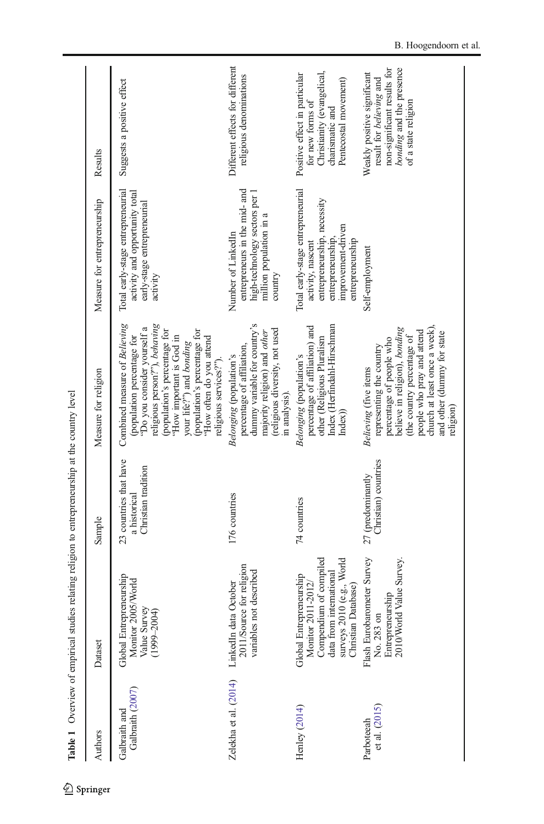<span id="page-5-0"></span>

| Authors                           | Dataset                                                                                                                                                | Sample                                                        | Measure for religion                                                                                                                                                                                                                                                                                             | Measure for entrepreneurship                                                                                                                         | Results                                                                                                                                   |
|-----------------------------------|--------------------------------------------------------------------------------------------------------------------------------------------------------|---------------------------------------------------------------|------------------------------------------------------------------------------------------------------------------------------------------------------------------------------------------------------------------------------------------------------------------------------------------------------------------|------------------------------------------------------------------------------------------------------------------------------------------------------|-------------------------------------------------------------------------------------------------------------------------------------------|
| Galbraith (2007)<br>Galbraith and | Global Entrepreneurship<br>Monitor 2005/World<br>Value Survey<br>$(1999 - 2004)$                                                                       | 23 countries that have<br>Christian tradition<br>a historical | religious person?"), behaving<br>Combined measure of Believing<br>"Do you consider yourself a<br>(population's percentage for<br>(population's percentage for<br>"How important is God in<br>"How often do you attend<br>(population percentage for<br>your life?") and <i>bonding</i><br>religious services?"). | Total early-stage entrepreneurial<br>activity and opportunity total<br>early-stage entrepreneurial<br>activity                                       | Suggests a positive effect                                                                                                                |
| Zelekha et al. (2014)             | 2011/Source for religion<br>variables not described<br>LinkedIn data October                                                                           | 176 countries                                                 | dunnny variable for country's<br>(religious diversity, not used<br>majority religion) and other<br>percentage of affiliation,<br>Belonging (population's<br>in analysis)                                                                                                                                         | entrepreneurs in the mid- and<br>high-technology sectors per 1<br>million population in<br>Number of LinkedIn<br>country                             | Different effects for different<br>religious denominations                                                                                |
| Henley (2014)                     | Compendium of compiled<br>surveys 2010 (e.g., World<br>Christian Database)<br>data from international<br>Global Entrepreneurship<br>Monitor 2011-2012/ | 74 countries                                                  | Index (Herfindahl-Hirschman<br>percentage of affiliation) and<br>other (Religious Pluralism<br>Belonging (population's<br>$(\text{index})$                                                                                                                                                                       | Total early-stage entrepreneurial<br>entrepreneurship, necessity<br>improvement-driven<br>entrepreneurship,<br>entrepreneurship<br>activity, nascent | Christianity (evangelical,<br>Positive effect in particular<br>Pentecostal movement)<br>for new forms of<br>charismatic and               |
| et al. (2015)<br>Parboteeah       | Flash Eurobarometer Survey<br>2010/World Value Survey.<br>Entrepreneurship<br>No. 283 on                                                               | Christian) countries<br>27 (predominantly                     | church at least once a week),<br>believe in religion), bonding<br>people who pray and attend<br>and other (dummy for state<br>(the country percentage of<br>percentage of people who<br>representing the country<br>Believing (five items<br>religion)                                                           | Self-employment                                                                                                                                      | non-significant results for<br>bonding and the presence<br>Weakly positive significant<br>result for believing and<br>of a state religion |

Table 1 Overview of empirical studies relating religion to entrepreneurship at the country level Table 1 Overview of empirical studies relating religion to entrepreneurship at the country level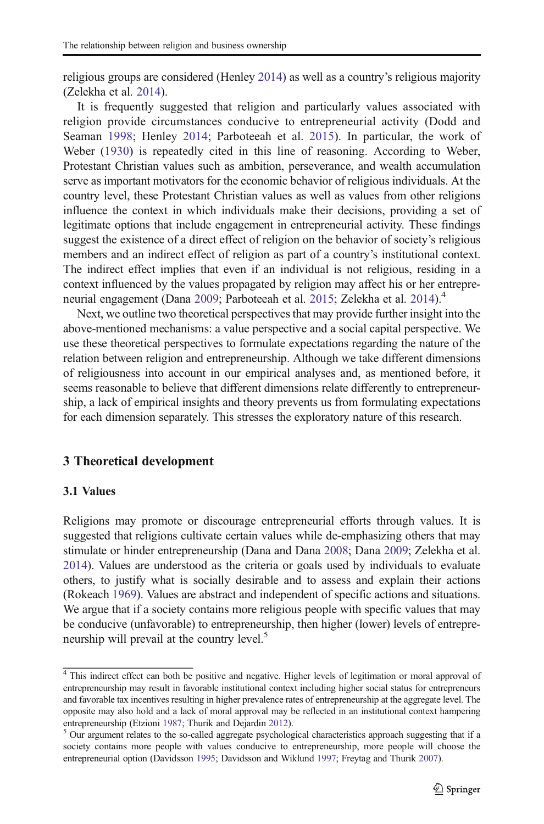<span id="page-6-0"></span>religious groups are considered (Henley [2014](#page-29-0)) as well as a country's religious majority (Zelekha et al. [2014\)](#page-31-0).

It is frequently suggested that religion and particularly values associated with religion provide circumstances conducive to entrepreneurial activity (Dodd and Seaman [1998](#page-29-0); Henley [2014;](#page-29-0) Parboteeah et al. [2015](#page-30-0)). In particular, the work of Weber [\(1930](#page-31-0)) is repeatedly cited in this line of reasoning. According to Weber, Protestant Christian values such as ambition, perseverance, and wealth accumulation serve as important motivators for the economic behavior of religious individuals. At the country level, these Protestant Christian values as well as values from other religions influence the context in which individuals make their decisions, providing a set of legitimate options that include engagement in entrepreneurial activity. These findings suggest the existence of a direct effect of religion on the behavior of society's religious members and an indirect effect of religion as part of a country's institutional context. The indirect effect implies that even if an individual is not religious, residing in a context influenced by the values propagated by religion may affect his or her entrepre-neurial engagement (Dana [2009;](#page-29-0) Parboteeah et al. [2015;](#page-30-0) Zelekha et al. [2014](#page-31-0)).<sup>4</sup>

Next, we outline two theoretical perspectives that may provide further insight into the above-mentioned mechanisms: a value perspective and a social capital perspective. We use these theoretical perspectives to formulate expectations regarding the nature of the relation between religion and entrepreneurship. Although we take different dimensions of religiousness into account in our empirical analyses and, as mentioned before, it seems reasonable to believe that different dimensions relate differently to entrepreneurship, a lack of empirical insights and theory prevents us from formulating expectations for each dimension separately. This stresses the exploratory nature of this research.

### 3 Theoretical development

### 3.1 Values

Religions may promote or discourage entrepreneurial efforts through values. It is suggested that religions cultivate certain values while de-emphasizing others that may stimulate or hinder entrepreneurship (Dana and Dana [2008](#page-29-0); Dana [2009;](#page-29-0) Zelekha et al. [2014\)](#page-31-0). Values are understood as the criteria or goals used by individuals to evaluate others, to justify what is socially desirable and to assess and explain their actions (Rokeach [1969](#page-30-0)). Values are abstract and independent of specific actions and situations. We argue that if a society contains more religious people with specific values that may be conducive (unfavorable) to entrepreneurship, then higher (lower) levels of entrepreneurship will prevail at the country level.<sup>5</sup>

<sup>&</sup>lt;sup>4</sup> This indirect effect can both be positive and negative. Higher levels of legitimation or moral approval of entrepreneurship may result in favorable institutional context including higher social status for entrepreneurs and favorable tax incentives resulting in higher prevalence rates of entrepreneurship at the aggregate level. The opposite may also hold and a lack of moral approval may be reflected in an institutional context hampering entrepreneurship (Etzioni [1987](#page-29-0); Thurik and Dejardin [2012\)](#page-30-0).<br><sup>5</sup> Our argument relates to the so-called aggregate psychological characteristics approach suggesting that if a

society contains more people with values conducive to entrepreneurship, more people will choose the entrepreneurial option (Davidsson [1995](#page-29-0); Davidsson and Wiklund [1997;](#page-29-0) Freytag and Thurik [2007\)](#page-29-0).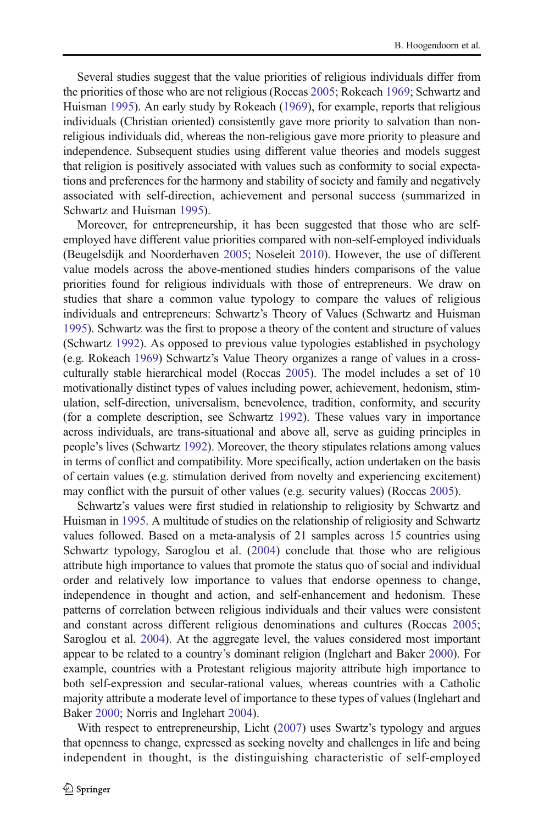Several studies suggest that the value priorities of religious individuals differ from the priorities of those who are not religious (Roccas [2005;](#page-30-0) Rokeach [1969](#page-30-0); Schwartz and Huisman [1995](#page-30-0)). An early study by Rokeach ([1969](#page-30-0)), for example, reports that religious individuals (Christian oriented) consistently gave more priority to salvation than nonreligious individuals did, whereas the non-religious gave more priority to pleasure and independence. Subsequent studies using different value theories and models suggest that religion is positively associated with values such as conformity to social expectations and preferences for the harmony and stability of society and family and negatively associated with self-direction, achievement and personal success (summarized in Schwartz and Huisman [1995\)](#page-30-0).

Moreover, for entrepreneurship, it has been suggested that those who are selfemployed have different value priorities compared with non-self-employed individuals (Beugelsdijk and Noorderhaven [2005](#page-28-0); Noseleit [2010\)](#page-30-0). However, the use of different value models across the above-mentioned studies hinders comparisons of the value priorities found for religious individuals with those of entrepreneurs. We draw on studies that share a common value typology to compare the values of religious individuals and entrepreneurs: Schwartz's Theory of Values (Schwartz and Huisman [1995\)](#page-30-0). Schwartz was the first to propose a theory of the content and structure of values (Schwartz [1992\)](#page-30-0). As opposed to previous value typologies established in psychology (e.g. Rokeach [1969](#page-30-0)) Schwartz's Value Theory organizes a range of values in a crossculturally stable hierarchical model (Roccas [2005](#page-30-0)). The model includes a set of 10 motivationally distinct types of values including power, achievement, hedonism, stimulation, self-direction, universalism, benevolence, tradition, conformity, and security (for a complete description, see Schwartz [1992\)](#page-30-0). These values vary in importance across individuals, are trans-situational and above all, serve as guiding principles in people's lives (Schwartz [1992\)](#page-30-0). Moreover, the theory stipulates relations among values in terms of conflict and compatibility. More specifically, action undertaken on the basis of certain values (e.g. stimulation derived from novelty and experiencing excitement) may conflict with the pursuit of other values (e.g. security values) (Roccas [2005\)](#page-30-0).

Schwartz's values were first studied in relationship to religiosity by Schwartz and Huisman in [1995.](#page-30-0) A multitude of studies on the relationship of religiosity and Schwartz values followed. Based on a meta-analysis of 21 samples across 15 countries using Schwartz typology, Saroglou et al. [\(2004\)](#page-30-0) conclude that those who are religious attribute high importance to values that promote the status quo of social and individual order and relatively low importance to values that endorse openness to change, independence in thought and action, and self-enhancement and hedonism. These patterns of correlation between religious individuals and their values were consistent and constant across different religious denominations and cultures (Roccas [2005;](#page-30-0) Saroglou et al. [2004](#page-30-0)). At the aggregate level, the values considered most important appear to be related to a country's dominant religion (Inglehart and Baker [2000](#page-29-0)). For example, countries with a Protestant religious majority attribute high importance to both self-expression and secular-rational values, whereas countries with a Catholic majority attribute a moderate level of importance to these types of values (Inglehart and Baker [2000;](#page-29-0) Norris and Inglehart [2004](#page-30-0)).

With respect to entrepreneurship, Licht [\(2007\)](#page-30-0) uses Swartz's typology and argues that openness to change, expressed as seeking novelty and challenges in life and being independent in thought, is the distinguishing characteristic of self-employed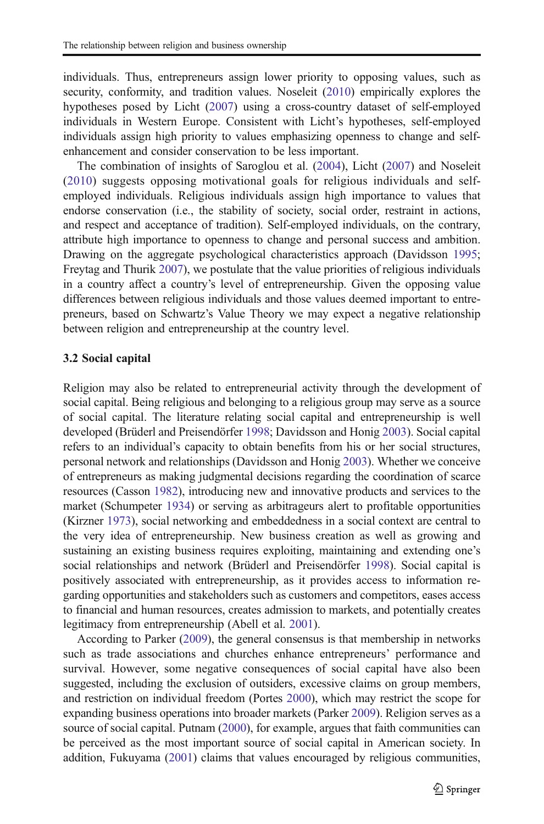<span id="page-8-0"></span>individuals. Thus, entrepreneurs assign lower priority to opposing values, such as security, conformity, and tradition values. Noseleit ([2010](#page-30-0)) empirically explores the hypotheses posed by Licht [\(2007\)](#page-30-0) using a cross-country dataset of self-employed individuals in Western Europe. Consistent with Licht's hypotheses, self-employed individuals assign high priority to values emphasizing openness to change and selfenhancement and consider conservation to be less important.

The combination of insights of Saroglou et al. [\(2004\)](#page-30-0), Licht [\(2007\)](#page-30-0) and Noseleit [\(2010\)](#page-30-0) suggests opposing motivational goals for religious individuals and selfemployed individuals. Religious individuals assign high importance to values that endorse conservation (i.e., the stability of society, social order, restraint in actions, and respect and acceptance of tradition). Self-employed individuals, on the contrary, attribute high importance to openness to change and personal success and ambition. Drawing on the aggregate psychological characteristics approach (Davidsson [1995;](#page-29-0) Freytag and Thurik [2007\)](#page-29-0), we postulate that the value priorities of religious individuals in a country affect a country's level of entrepreneurship. Given the opposing value differences between religious individuals and those values deemed important to entrepreneurs, based on Schwartz's Value Theory we may expect a negative relationship between religion and entrepreneurship at the country level.

### 3.2 Social capital

Religion may also be related to entrepreneurial activity through the development of social capital. Being religious and belonging to a religious group may serve as a source of social capital. The literature relating social capital and entrepreneurship is well developed (Brüderl and Preisendörfer [1998;](#page-28-0) Davidsson and Honig [2003\)](#page-29-0). Social capital refers to an individual's capacity to obtain benefits from his or her social structures, personal network and relationships (Davidsson and Honig [2003\)](#page-29-0). Whether we conceive of entrepreneurs as making judgmental decisions regarding the coordination of scarce resources (Casson [1982\)](#page-29-0), introducing new and innovative products and services to the market (Schumpeter [1934\)](#page-30-0) or serving as arbitrageurs alert to profitable opportunities (Kirzner [1973\)](#page-29-0), social networking and embeddedness in a social context are central to the very idea of entrepreneurship. New business creation as well as growing and sustaining an existing business requires exploiting, maintaining and extending one's social relationships and network (Brüderl and Preisendörfer [1998\)](#page-28-0). Social capital is positively associated with entrepreneurship, as it provides access to information regarding opportunities and stakeholders such as customers and competitors, eases access to financial and human resources, creates admission to markets, and potentially creates legitimacy from entrepreneurship (Abell et al. [2001](#page-28-0)).

According to Parker [\(2009\)](#page-30-0), the general consensus is that membership in networks such as trade associations and churches enhance entrepreneurs' performance and survival. However, some negative consequences of social capital have also been suggested, including the exclusion of outsiders, excessive claims on group members, and restriction on individual freedom (Portes [2000](#page-30-0)), which may restrict the scope for expanding business operations into broader markets (Parker [2009\)](#page-30-0). Religion serves as a source of social capital. Putnam [\(2000](#page-30-0)), for example, argues that faith communities can be perceived as the most important source of social capital in American society. In addition, Fukuyama [\(2001\)](#page-29-0) claims that values encouraged by religious communities,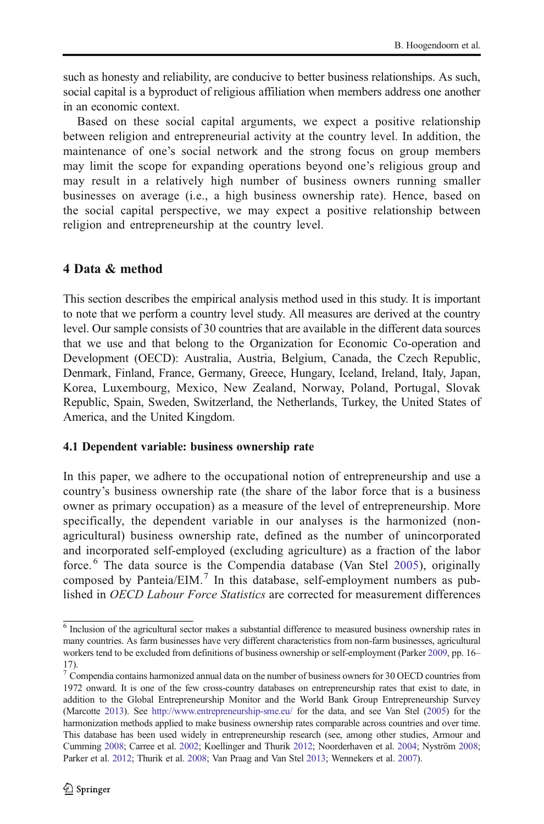such as honesty and reliability, are conducive to better business relationships. As such, social capital is a byproduct of religious affiliation when members address one another in an economic context.

Based on these social capital arguments, we expect a positive relationship between religion and entrepreneurial activity at the country level. In addition, the maintenance of one's social network and the strong focus on group members may limit the scope for expanding operations beyond one's religious group and may result in a relatively high number of business owners running smaller businesses on average (i.e., a high business ownership rate). Hence, based on the social capital perspective, we may expect a positive relationship between religion and entrepreneurship at the country level.

# 4 Data & method

This section describes the empirical analysis method used in this study. It is important to note that we perform a country level study. All measures are derived at the country level. Our sample consists of 30 countries that are available in the different data sources that we use and that belong to the Organization for Economic Co-operation and Development (OECD): Australia, Austria, Belgium, Canada, the Czech Republic, Denmark, Finland, France, Germany, Greece, Hungary, Iceland, Ireland, Italy, Japan, Korea, Luxembourg, Mexico, New Zealand, Norway, Poland, Portugal, Slovak Republic, Spain, Sweden, Switzerland, the Netherlands, Turkey, the United States of America, and the United Kingdom.

# 4.1 Dependent variable: business ownership rate

In this paper, we adhere to the occupational notion of entrepreneurship and use a country's business ownership rate (the share of the labor force that is a business owner as primary occupation) as a measure of the level of entrepreneurship. More specifically, the dependent variable in our analyses is the harmonized (nonagricultural) business ownership rate, defined as the number of unincorporated and incorporated self-employed (excluding agriculture) as a fraction of the labor force. <sup>6</sup> The data source is the Compendia database (Van Stel [2005\)](#page-31-0), originally composed by Panteia/EIM.<sup>7</sup> In this database, self-employment numbers as published in *OECD Labour Force Statistics* are corrected for measurement differences

<sup>6</sup> Inclusion of the agricultural sector makes a substantial difference to measured business ownership rates in many countries. As farm businesses have very different characteristics from non-farm businesses, agricultural workers tend to be excluded from definitions of business ownership or self-employment (Parker [2009](#page-30-0), pp. 16– 17).

 $7 \text{ Compendia contains harmonized annual data on the number of business owners for 30 OECD countries from }$ 1972 onward. It is one of the few cross-country databases on entrepreneurship rates that exist to date, in addition to the Global Entrepreneurship Monitor and the World Bank Group Entrepreneurship Survey (Marcotte [2013](#page-30-0)). See <http://www.entrepreneurship-sme.eu/> for the data, and see Van Stel [\(2005](#page-31-0)) for the harmonization methods applied to make business ownership rates comparable across countries and over time. This database has been used widely in entrepreneurship research (see, among other studies, Armour and Cumming [2008;](#page-28-0) Carree et al. [2002](#page-28-0); Koellinger and Thurik [2012;](#page-29-0) Noorderhaven et al. [2004;](#page-30-0) Nyström [2008](#page-30-0); Parker et al. [2012](#page-30-0); Thurik et al. [2008](#page-30-0); Van Praag and Van Stel [2013](#page-30-0); Wennekers et al. [2007](#page-31-0)).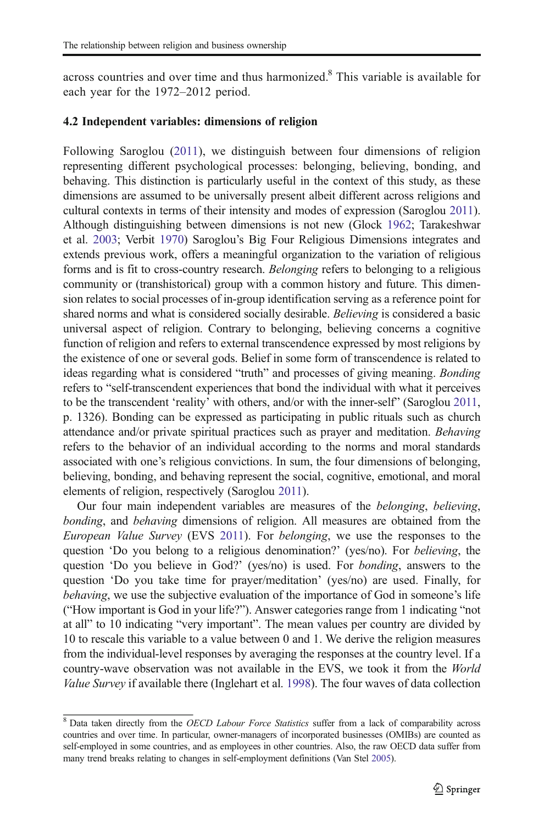across countries and over time and thus harmonized.<sup>8</sup> This variable is available for each year for the 1972–2012 period.

### 4.2 Independent variables: dimensions of religion

Following Saroglou ([2011](#page-30-0)), we distinguish between four dimensions of religion representing different psychological processes: belonging, believing, bonding, and behaving. This distinction is particularly useful in the context of this study, as these dimensions are assumed to be universally present albeit different across religions and cultural contexts in terms of their intensity and modes of expression (Saroglou [2011\)](#page-30-0). Although distinguishing between dimensions is not new (Glock [1962](#page-29-0); Tarakeshwar et al. [2003;](#page-30-0) Verbit [1970\)](#page-31-0) Saroglou's Big Four Religious Dimensions integrates and extends previous work, offers a meaningful organization to the variation of religious forms and is fit to cross-country research. Belonging refers to belonging to a religious community or (transhistorical) group with a common history and future. This dimension relates to social processes of in-group identification serving as a reference point for shared norms and what is considered socially desirable. Believing is considered a basic universal aspect of religion. Contrary to belonging, believing concerns a cognitive function of religion and refers to external transcendence expressed by most religions by the existence of one or several gods. Belief in some form of transcendence is related to ideas regarding what is considered "truth" and processes of giving meaning. Bonding refers to "self-transcendent experiences that bond the individual with what it perceives to be the transcendent 'reality' with others, and/or with the inner-self" (Saroglou [2011,](#page-30-0) p. 1326). Bonding can be expressed as participating in public rituals such as church attendance and/or private spiritual practices such as prayer and meditation. Behaving refers to the behavior of an individual according to the norms and moral standards associated with one's religious convictions. In sum, the four dimensions of belonging, believing, bonding, and behaving represent the social, cognitive, emotional, and moral elements of religion, respectively (Saroglou [2011](#page-30-0)).

Our four main independent variables are measures of the belonging, believing, bonding, and behaving dimensions of religion. All measures are obtained from the European Value Survey (EVS [2011](#page-29-0)). For belonging, we use the responses to the question 'Do you belong to a religious denomination?' (yes/no). For believing, the question 'Do you believe in God?' (yes/no) is used. For *bonding*, answers to the question 'Do you take time for prayer/meditation' (yes/no) are used. Finally, for behaving, we use the subjective evaluation of the importance of God in someone's life ("How important is God in your life?"). Answer categories range from 1 indicating "not at all" to 10 indicating "very important". The mean values per country are divided by 10 to rescale this variable to a value between 0 and 1. We derive the religion measures from the individual-level responses by averaging the responses at the country level. If a country-wave observation was not available in the EVS, we took it from the World Value Survey if available there (Inglehart et al. [1998](#page-29-0)). The four waves of data collection

 $8$  Data taken directly from the OECD Labour Force Statistics suffer from a lack of comparability across countries and over time. In particular, owner-managers of incorporated businesses (OMIBs) are counted as self-employed in some countries, and as employees in other countries. Also, the raw OECD data suffer from many trend breaks relating to changes in self-employment definitions (Van Stel [2005\)](#page-31-0).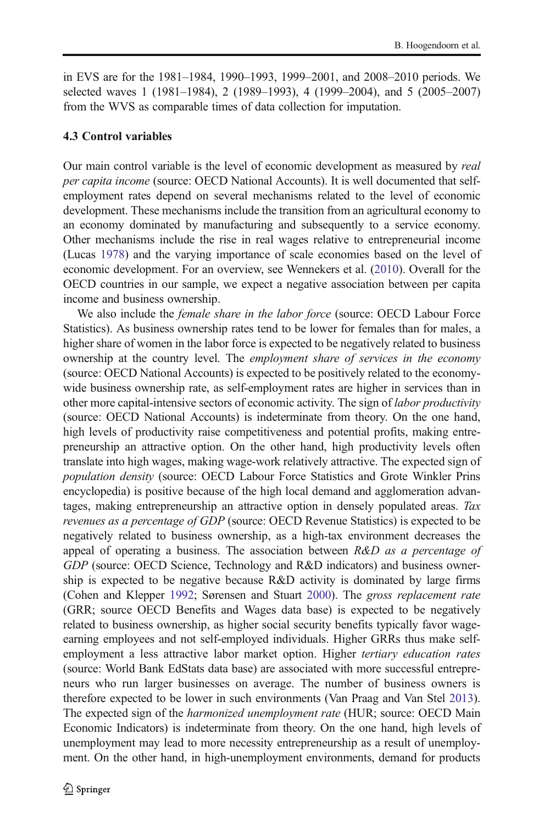in EVS are for the 1981–1984, 1990–1993, 1999–2001, and 2008–2010 periods. We selected waves 1 (1981–1984), 2 (1989–1993), 4 (1999–2004), and 5 (2005–2007) from the WVS as comparable times of data collection for imputation.

### 4.3 Control variables

Our main control variable is the level of economic development as measured by *real* per capita income (source: OECD National Accounts). It is well documented that selfemployment rates depend on several mechanisms related to the level of economic development. These mechanisms include the transition from an agricultural economy to an economy dominated by manufacturing and subsequently to a service economy. Other mechanisms include the rise in real wages relative to entrepreneurial income (Lucas [1978\)](#page-30-0) and the varying importance of scale economies based on the level of economic development. For an overview, see Wennekers et al. ([2010](#page-31-0)). Overall for the OECD countries in our sample, we expect a negative association between per capita income and business ownership.

We also include the *female share in the labor force* (source: OECD Labour Force Statistics). As business ownership rates tend to be lower for females than for males, a higher share of women in the labor force is expected to be negatively related to business ownership at the country level. The employment share of services in the economy (source: OECD National Accounts) is expected to be positively related to the economywide business ownership rate, as self-employment rates are higher in services than in other more capital-intensive sectors of economic activity. The sign of labor productivity (source: OECD National Accounts) is indeterminate from theory. On the one hand, high levels of productivity raise competitiveness and potential profits, making entrepreneurship an attractive option. On the other hand, high productivity levels often translate into high wages, making wage-work relatively attractive. The expected sign of population density (source: OECD Labour Force Statistics and Grote Winkler Prins encyclopedia) is positive because of the high local demand and agglomeration advantages, making entrepreneurship an attractive option in densely populated areas. Tax revenues as a percentage of GDP (source: OECD Revenue Statistics) is expected to be negatively related to business ownership, as a high-tax environment decreases the appeal of operating a business. The association between  $R&D$  as a percentage of GDP (source: OECD Science, Technology and R&D indicators) and business ownership is expected to be negative because R&D activity is dominated by large firms (Cohen and Klepper [1992;](#page-29-0) Sørensen and Stuart [2000\)](#page-30-0). The gross replacement rate (GRR; source OECD Benefits and Wages data base) is expected to be negatively related to business ownership, as higher social security benefits typically favor wageearning employees and not self-employed individuals. Higher GRRs thus make selfemployment a less attractive labor market option. Higher tertiary education rates (source: World Bank EdStats data base) are associated with more successful entrepreneurs who run larger businesses on average. The number of business owners is therefore expected to be lower in such environments (Van Praag and Van Stel [2013\)](#page-30-0). The expected sign of the harmonized unemployment rate (HUR; source: OECD Main Economic Indicators) is indeterminate from theory. On the one hand, high levels of unemployment may lead to more necessity entrepreneurship as a result of unemployment. On the other hand, in high-unemployment environments, demand for products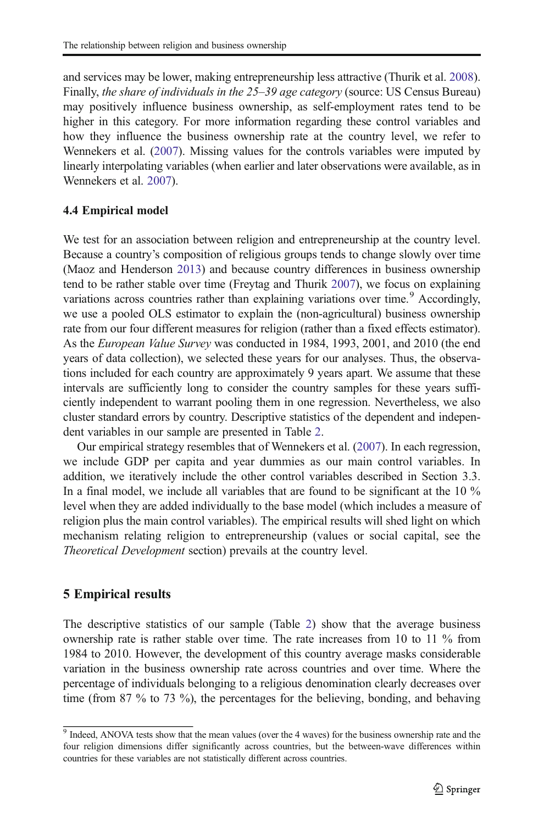and services may be lower, making entrepreneurship less attractive (Thurik et al. [2008\)](#page-30-0). Finally, the share of individuals in the 25–39 age category (source: US Census Bureau) may positively influence business ownership, as self-employment rates tend to be higher in this category. For more information regarding these control variables and how they influence the business ownership rate at the country level, we refer to Wennekers et al. [\(2007](#page-31-0)). Missing values for the controls variables were imputed by linearly interpolating variables (when earlier and later observations were available, as in Wennekers et al. [2007\)](#page-31-0).

### 4.4 Empirical model

We test for an association between religion and entrepreneurship at the country level. Because a country's composition of religious groups tends to change slowly over time (Maoz and Henderson [2013\)](#page-30-0) and because country differences in business ownership tend to be rather stable over time (Freytag and Thurik [2007](#page-29-0)), we focus on explaining variations across countries rather than explaining variations over time.<sup>9</sup> Accordingly, we use a pooled OLS estimator to explain the (non-agricultural) business ownership rate from our four different measures for religion (rather than a fixed effects estimator). As the European Value Survey was conducted in 1984, 1993, 2001, and 2010 (the end years of data collection), we selected these years for our analyses. Thus, the observations included for each country are approximately 9 years apart. We assume that these intervals are sufficiently long to consider the country samples for these years sufficiently independent to warrant pooling them in one regression. Nevertheless, we also cluster standard errors by country. Descriptive statistics of the dependent and independent variables in our sample are presented in Table [2](#page-13-0).

Our empirical strategy resembles that of Wennekers et al. [\(2007\)](#page-31-0). In each regression, we include GDP per capita and year dummies as our main control variables. In addition, we iteratively include the other control variables described in Section 3.3. In a final model, we include all variables that are found to be significant at the 10 % level when they are added individually to the base model (which includes a measure of religion plus the main control variables). The empirical results will shed light on which mechanism relating religion to entrepreneurship (values or social capital, see the Theoretical Development section) prevails at the country level.

# 5 Empirical results

The descriptive statistics of our sample (Table [2\)](#page-13-0) show that the average business ownership rate is rather stable over time. The rate increases from 10 to 11 % from 1984 to 2010. However, the development of this country average masks considerable variation in the business ownership rate across countries and over time. Where the percentage of individuals belonging to a religious denomination clearly decreases over time (from 87 % to 73 %), the percentages for the believing, bonding, and behaving

 $\frac{9}{9}$  Indeed, ANOVA tests show that the mean values (over the 4 waves) for the business ownership rate and the four religion dimensions differ significantly across countries, but the between-wave differences within countries for these variables are not statistically different across countries.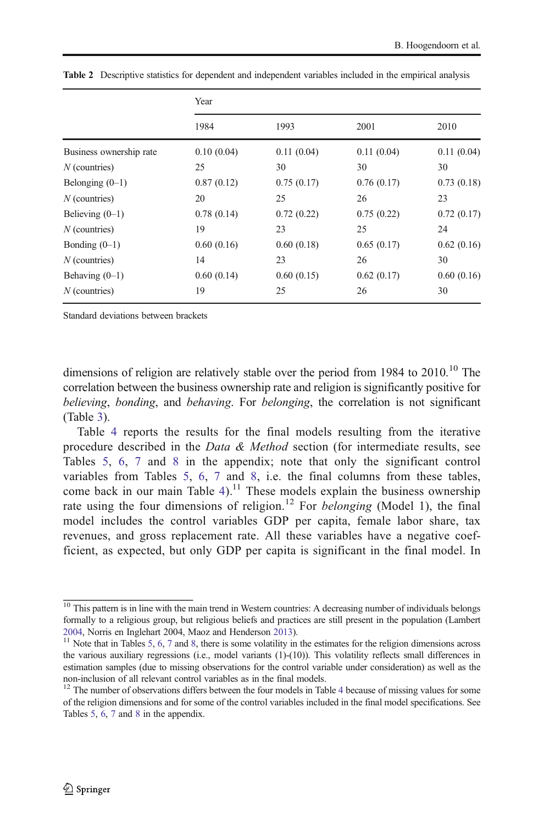|                         | Year       |            |            |            |
|-------------------------|------------|------------|------------|------------|
|                         | 1984       | 1993       | 2001       | 2010       |
| Business ownership rate | 0.10(0.04) | 0.11(0.04) | 0.11(0.04) | 0.11(0.04) |
| $N$ (countries)         | 25         | 30         | 30         | 30         |
| Belonging $(0-1)$       | 0.87(0.12) | 0.75(0.17) | 0.76(0.17) | 0.73(0.18) |
| $N$ (countries)         | 20         | 25         | 26         | 23         |
| Believing $(0-1)$       | 0.78(0.14) | 0.72(0.22) | 0.75(0.22) | 0.72(0.17) |
| $N$ (countries)         | 19         | 23         | 25         | 24         |
| Bonding $(0-1)$         | 0.60(0.16) | 0.60(0.18) | 0.65(0.17) | 0.62(0.16) |
| $N$ (countries)         | 14         | 23         | 26         | 30         |
| Behaving $(0-1)$        | 0.60(0.14) | 0.60(0.15) | 0.62(0.17) | 0.60(0.16) |
| $N$ (countries)         | 19         | 25         | 26         | 30         |

<span id="page-13-0"></span>Table 2 Descriptive statistics for dependent and independent variables included in the empirical analysis

Standard deviations between brackets

dimensions of religion are relatively stable over the period from 1984 to  $2010$ .<sup>10</sup> The correlation between the business ownership rate and religion is significantly positive for believing, bonding, and behaving. For belonging, the correlation is not significant (Table [3](#page-14-0)).

Table [4](#page-15-0) reports the results for the final models resulting from the iterative procedure described in the *Data & Method* section (for intermediate results, see Tables [5,](#page-20-0) [6,](#page-22-0) [7](#page-24-0) and [8](#page-26-0) in the appendix; note that only the significant control variables from Tables [5,](#page-20-0) [6,](#page-22-0) [7](#page-24-0) and [8,](#page-26-0) i.e. the final columns from these tables, come back in our main Table  $4$ <sup>11</sup>. These models explain the business ownership rate using the four dimensions of religion.<sup>12</sup> For *belonging* (Model 1), the final model includes the control variables GDP per capita, female labor share, tax revenues, and gross replacement rate. All these variables have a negative coefficient, as expected, but only GDP per capita is significant in the final model. In

<sup>&</sup>lt;sup>10</sup> This pattern is in line with the main trend in Western countries: A decreasing number of individuals belongs formally to a religious group, but religious beliefs and practices are still present in the population (Lambert

[<sup>2004,</sup>](#page-30-0) Norris en Inglehart 2004, Maoz and Henderson [2013\)](#page-30-0). <sup>11</sup> Note that in Tables [5](#page-20-0), [6](#page-22-0), [7](#page-24-0) and [8](#page-26-0), there is some volatility in the estimates for the religion dimensions across the various auxiliary regressions (i.e., model variants (1)-(10)). This volatility reflects small differences in estimation samples (due to missing observations for the control variable under consideration) as well as the non-inclusion of all relevant control variables as in the final models.

 $12$  The number of observations differs between the four models in Table [4](#page-15-0) because of missing values for some of the religion dimensions and for some of the control variables included in the final model specifications. See Tables [5](#page-20-0), [6](#page-22-0), [7](#page-24-0) and [8](#page-26-0) in the appendix.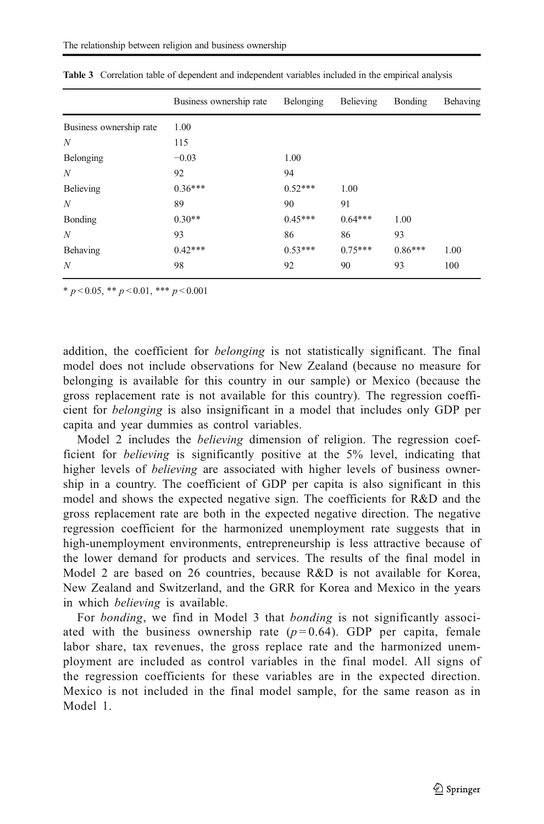|                         | Business ownership rate | Belonging | <b>Believing</b> | <b>Bonding</b> | Behaving |
|-------------------------|-------------------------|-----------|------------------|----------------|----------|
| Business ownership rate | 1.00                    |           |                  |                |          |
| N                       | 115                     |           |                  |                |          |
| Belonging               | $-0.03$                 | 1.00      |                  |                |          |
| N                       | 92                      | 94        |                  |                |          |
| Believing               | $0.36***$               | $0.52***$ | 1.00             |                |          |
| N                       | 89                      | 90        | 91               |                |          |
| Bonding                 | $0.30**$                | $0.45***$ | $0.64***$        | 1.00           |          |
| N                       | 93                      | 86        | 86               | 93             |          |
| Behaving                | $0.42***$               | $0.53***$ | $0.75***$        | $0.86***$      | 1.00     |
| N                       | 98                      | 92        | 90               | 93             | 100      |

<span id="page-14-0"></span>Table 3 Correlation table of dependent and independent variables included in the empirical analysis

 $* p < 0.05, ** p < 0.01, *** p < 0.001$ 

addition, the coefficient for *belonging* is not statistically significant. The final model does not include observations for New Zealand (because no measure for belonging is available for this country in our sample) or Mexico (because the gross replacement rate is not available for this country). The regression coefficient for belonging is also insignificant in a model that includes only GDP per capita and year dummies as control variables.

Model 2 includes the *believing* dimension of religion. The regression coefficient for believing is significantly positive at the 5% level, indicating that higher levels of *believing* are associated with higher levels of business ownership in a country. The coefficient of GDP per capita is also significant in this model and shows the expected negative sign. The coefficients for R&D and the gross replacement rate are both in the expected negative direction. The negative regression coefficient for the harmonized unemployment rate suggests that in high-unemployment environments, entrepreneurship is less attractive because of the lower demand for products and services. The results of the final model in Model 2 are based on 26 countries, because R&D is not available for Korea, New Zealand and Switzerland, and the GRR for Korea and Mexico in the years in which believing is available.

For *bonding*, we find in Model 3 that *bonding* is not significantly associ-ated with the business ownership rate  $(p=0.64)$ . GDP per capita, female labor share, tax revenues, the gross replace rate and the harmonized unemployment are included as control variables in the final model. All signs of the regression coefficients for these variables are in the expected direction. Mexico is not included in the final model sample, for the same reason as in Model 1.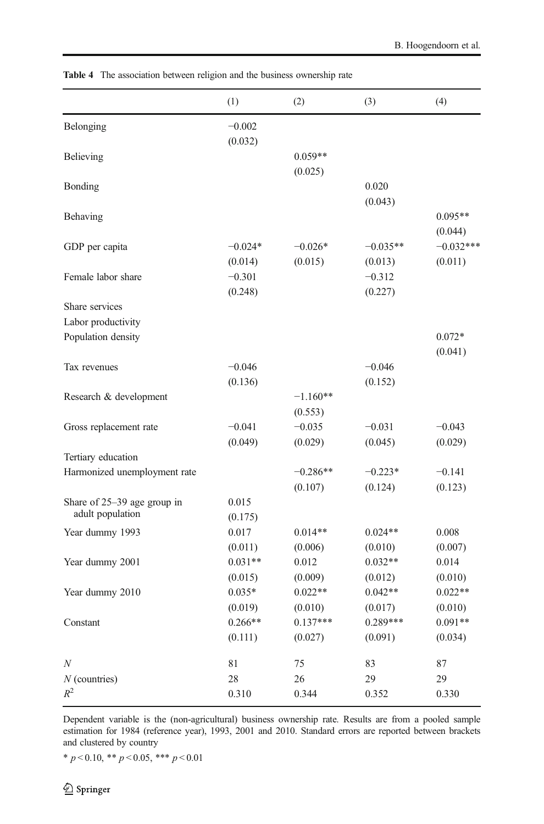|                                   | (1)       | (2)        | (3)        | (4)         |
|-----------------------------------|-----------|------------|------------|-------------|
| Belonging                         | $-0.002$  |            |            |             |
|                                   | (0.032)   |            |            |             |
| Believing                         |           | $0.059**$  |            |             |
|                                   |           | (0.025)    | 0.020      |             |
| Bonding                           |           |            |            |             |
| Behaving                          |           |            | (0.043)    | $0.095**$   |
|                                   |           |            |            | (0.044)     |
| GDP per capita                    | $-0.024*$ | $-0.026*$  | $-0.035**$ | $-0.032***$ |
|                                   | (0.014)   | (0.015)    | (0.013)    | (0.011)     |
| Female labor share                | $-0.301$  |            | $-0.312$   |             |
|                                   | (0.248)   |            | (0.227)    |             |
| Share services                    |           |            |            |             |
| Labor productivity                |           |            |            |             |
| Population density                |           |            |            | $0.072*$    |
|                                   |           |            |            | (0.041)     |
| Tax revenues                      | $-0.046$  |            | $-0.046$   |             |
|                                   | (0.136)   |            | (0.152)    |             |
| Research & development            |           | $-1.160**$ |            |             |
|                                   |           | (0.553)    |            |             |
| Gross replacement rate            | $-0.041$  | $-0.035$   | $-0.031$   | $-0.043$    |
|                                   | (0.049)   | (0.029)    | (0.045)    | (0.029)     |
| Tertiary education                |           |            |            |             |
| Harmonized unemployment rate      |           | $-0.286**$ | $-0.223*$  | $-0.141$    |
|                                   |           | (0.107)    | (0.124)    | (0.123)     |
| Share of $25-39$ age group in     | 0.015     |            |            |             |
| adult population                  | (0.175)   |            |            |             |
| Year dummy 1993                   | 0.017     | $0.014**$  | $0.024**$  | 0.008       |
|                                   | (0.011)   | (0.006)    | (0.010)    | (0.007)     |
| Year dummy 2001                   | $0.031**$ | 0.012      | $0.032**$  | 0.014       |
|                                   | (0.015)   | (0.009)    | (0.012)    | (0.010)     |
| Year dummy 2010                   | $0.035*$  | $0.022**$  | $0.042**$  | $0.022**$   |
|                                   | (0.019)   | (0.010)    | (0.017)    | (0.010)     |
| Constant                          | $0.266**$ | $0.137***$ | $0.289***$ | $0.091**$   |
|                                   | (0.111)   | (0.027)    | (0.091)    | (0.034)     |
|                                   |           |            |            |             |
| $\boldsymbol{N}$                  | 81        | 75         | 83         | 87          |
| $N$ (countries)<br>$\mathbb{R}^2$ | 28        | 26         | 29         | 29          |
|                                   | 0.310     | 0.344      | 0.352      | 0.330       |

<span id="page-15-0"></span>Table 4 The association between religion and the business ownership rate

Dependent variable is the (non-agricultural) business ownership rate. Results are from a pooled sample estimation for 1984 (reference year), 1993, 2001 and 2010. Standard errors are reported between brackets and clustered by country

\*  $p < 0.10$ , \*\*  $p < 0.05$ , \*\*\*  $p < 0.01$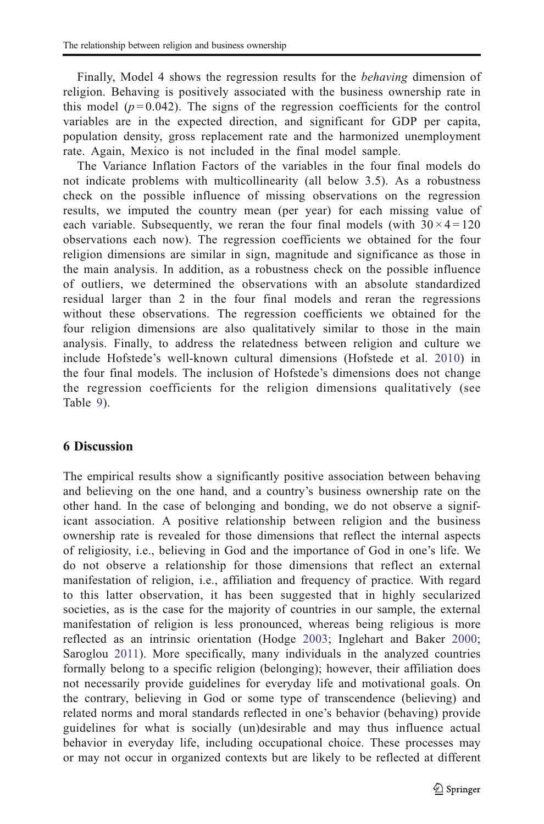Finally, Model 4 shows the regression results for the behaving dimension of religion. Behaving is positively associated with the business ownership rate in this model  $(p=0.042)$ . The signs of the regression coefficients for the control variables are in the expected direction, and significant for GDP per capita, population density, gross replacement rate and the harmonized unemployment rate. Again, Mexico is not included in the final model sample.

The Variance Inflation Factors of the variables in the four final models do not indicate problems with multicollinearity (all below 3.5). As a robustness check on the possible influence of missing observations on the regression results, we imputed the country mean (per year) for each missing value of each variable. Subsequently, we reran the four final models (with  $30 \times 4 = 120$ ) observations each now). The regression coefficients we obtained for the four religion dimensions are similar in sign, magnitude and significance as those in the main analysis. In addition, as a robustness check on the possible influence of outliers, we determined the observations with an absolute standardized residual larger than 2 in the four final models and reran the regressions without these observations. The regression coefficients we obtained for the four religion dimensions are also qualitatively similar to those in the main analysis. Finally, to address the relatedness between religion and culture we include Hofstede's well-known cultural dimensions (Hofstede et al. [2010\)](#page-29-0) in the four final models. The inclusion of Hofstede's dimensions does not change the regression coefficients for the religion dimensions qualitatively (see Table [9](#page-28-0)).

# 6 Discussion

The empirical results show a significantly positive association between behaving and believing on the one hand, and a country's business ownership rate on the other hand. In the case of belonging and bonding, we do not observe a significant association. A positive relationship between religion and the business ownership rate is revealed for those dimensions that reflect the internal aspects of religiosity, i.e., believing in God and the importance of God in one's life. We do not observe a relationship for those dimensions that reflect an external manifestation of religion, i.e., affiliation and frequency of practice. With regard to this latter observation, it has been suggested that in highly secularized societies, as is the case for the majority of countries in our sample, the external manifestation of religion is less pronounced, whereas being religious is more reflected as an intrinsic orientation (Hodge [2003](#page-29-0); Inglehart and Baker [2000;](#page-29-0) Saroglou [2011](#page-30-0)). More specifically, many individuals in the analyzed countries formally belong to a specific religion (belonging); however, their affiliation does not necessarily provide guidelines for everyday life and motivational goals. On the contrary, believing in God or some type of transcendence (believing) and related norms and moral standards reflected in one's behavior (behaving) provide guidelines for what is socially (un)desirable and may thus influence actual behavior in everyday life, including occupational choice. These processes may or may not occur in organized contexts but are likely to be reflected at different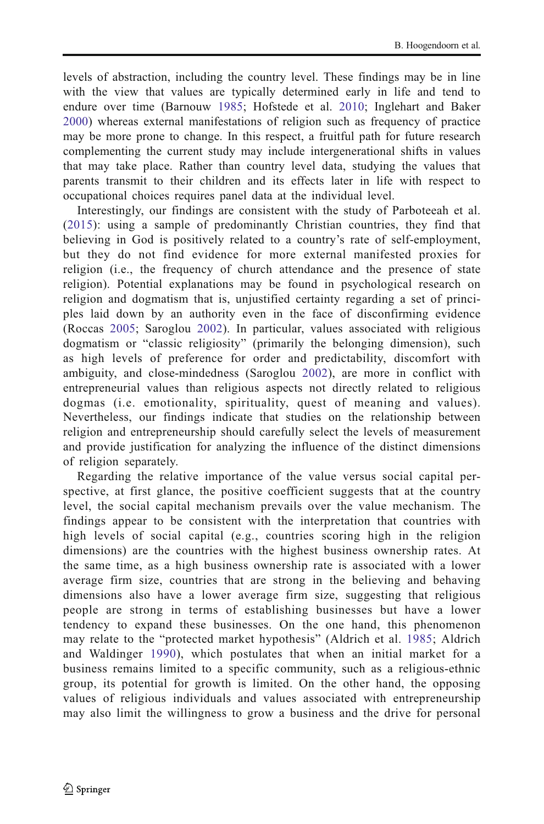levels of abstraction, including the country level. These findings may be in line with the view that values are typically determined early in life and tend to endure over time (Barnouw [1985](#page-28-0); Hofstede et al. [2010](#page-29-0); Inglehart and Baker [2000](#page-29-0)) whereas external manifestations of religion such as frequency of practice may be more prone to change. In this respect, a fruitful path for future research complementing the current study may include intergenerational shifts in values that may take place. Rather than country level data, studying the values that parents transmit to their children and its effects later in life with respect to occupational choices requires panel data at the individual level.

Interestingly, our findings are consistent with the study of Parboteeah et al. [\(2015](#page-30-0)): using a sample of predominantly Christian countries, they find that believing in God is positively related to a country's rate of self-employment, but they do not find evidence for more external manifested proxies for religion (i.e., the frequency of church attendance and the presence of state religion). Potential explanations may be found in psychological research on religion and dogmatism that is, unjustified certainty regarding a set of principles laid down by an authority even in the face of disconfirming evidence (Roccas [2005;](#page-30-0) Saroglou [2002\)](#page-30-0). In particular, values associated with religious dogmatism or "classic religiosity" (primarily the belonging dimension), such as high levels of preference for order and predictability, discomfort with ambiguity, and close-mindedness (Saroglou [2002](#page-30-0)), are more in conflict with entrepreneurial values than religious aspects not directly related to religious dogmas (i.e. emotionality, spirituality, quest of meaning and values). Nevertheless, our findings indicate that studies on the relationship between religion and entrepreneurship should carefully select the levels of measurement and provide justification for analyzing the influence of the distinct dimensions of religion separately.

Regarding the relative importance of the value versus social capital perspective, at first glance, the positive coefficient suggests that at the country level, the social capital mechanism prevails over the value mechanism. The findings appear to be consistent with the interpretation that countries with high levels of social capital (e.g., countries scoring high in the religion dimensions) are the countries with the highest business ownership rates. At the same time, as a high business ownership rate is associated with a lower average firm size, countries that are strong in the believing and behaving dimensions also have a lower average firm size, suggesting that religious people are strong in terms of establishing businesses but have a lower tendency to expand these businesses. On the one hand, this phenomenon may relate to the "protected market hypothesis" (Aldrich et al. [1985;](#page-28-0) Aldrich and Waldinger [1990](#page-28-0)), which postulates that when an initial market for a business remains limited to a specific community, such as a religious-ethnic group, its potential for growth is limited. On the other hand, the opposing values of religious individuals and values associated with entrepreneurship may also limit the willingness to grow a business and the drive for personal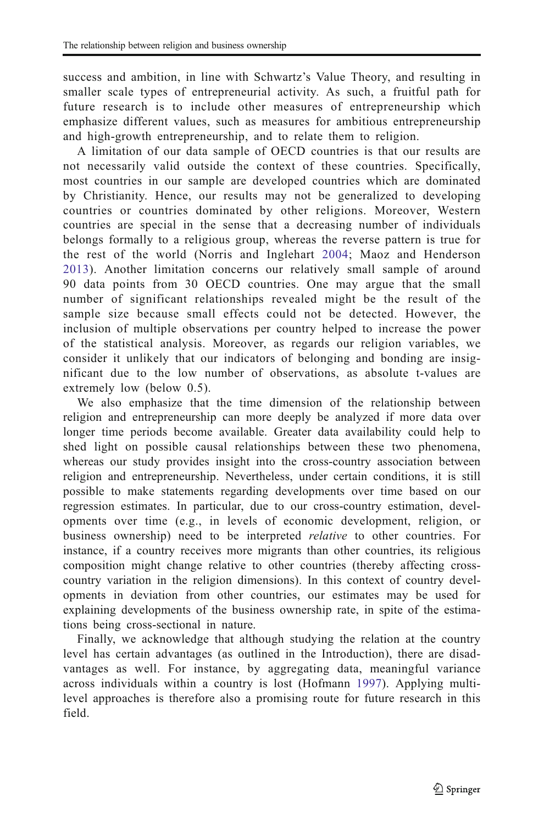success and ambition, in line with Schwartz's Value Theory, and resulting in smaller scale types of entrepreneurial activity. As such, a fruitful path for future research is to include other measures of entrepreneurship which emphasize different values, such as measures for ambitious entrepreneurship and high-growth entrepreneurship, and to relate them to religion.

A limitation of our data sample of OECD countries is that our results are not necessarily valid outside the context of these countries. Specifically, most countries in our sample are developed countries which are dominated by Christianity. Hence, our results may not be generalized to developing countries or countries dominated by other religions. Moreover, Western countries are special in the sense that a decreasing number of individuals belongs formally to a religious group, whereas the reverse pattern is true for the rest of the world (Norris and Inglehart [2004;](#page-30-0) Maoz and Henderson [2013](#page-30-0)). Another limitation concerns our relatively small sample of around 90 data points from 30 OECD countries. One may argue that the small number of significant relationships revealed might be the result of the sample size because small effects could not be detected. However, the inclusion of multiple observations per country helped to increase the power of the statistical analysis. Moreover, as regards our religion variables, we consider it unlikely that our indicators of belonging and bonding are insignificant due to the low number of observations, as absolute t-values are extremely low (below 0.5).

We also emphasize that the time dimension of the relationship between religion and entrepreneurship can more deeply be analyzed if more data over longer time periods become available. Greater data availability could help to shed light on possible causal relationships between these two phenomena, whereas our study provides insight into the cross-country association between religion and entrepreneurship. Nevertheless, under certain conditions, it is still possible to make statements regarding developments over time based on our regression estimates. In particular, due to our cross-country estimation, developments over time (e.g., in levels of economic development, religion, or business ownership) need to be interpreted relative to other countries. For instance, if a country receives more migrants than other countries, its religious composition might change relative to other countries (thereby affecting crosscountry variation in the religion dimensions). In this context of country developments in deviation from other countries, our estimates may be used for explaining developments of the business ownership rate, in spite of the estimations being cross-sectional in nature.

Finally, we acknowledge that although studying the relation at the country level has certain advantages (as outlined in the Introduction), there are disadvantages as well. For instance, by aggregating data, meaningful variance across individuals within a country is lost (Hofmann [1997\)](#page-29-0). Applying multilevel approaches is therefore also a promising route for future research in this field.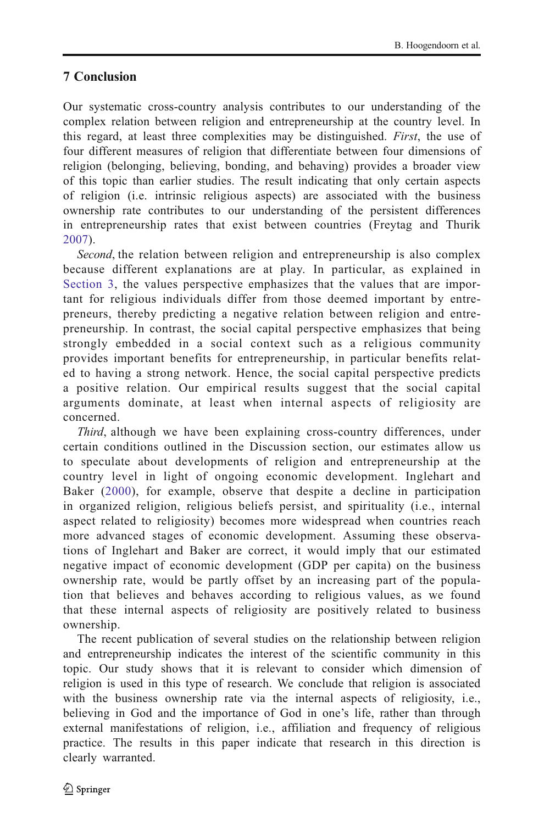# 7 Conclusion

Our systematic cross-country analysis contributes to our understanding of the complex relation between religion and entrepreneurship at the country level. In this regard, at least three complexities may be distinguished. First, the use of four different measures of religion that differentiate between four dimensions of religion (belonging, believing, bonding, and behaving) provides a broader view of this topic than earlier studies. The result indicating that only certain aspects of religion (i.e. intrinsic religious aspects) are associated with the business ownership rate contributes to our understanding of the persistent differences in entrepreneurship rates that exist between countries (Freytag and Thurik [2007](#page-29-0)).

Second, the relation between religion and entrepreneurship is also complex because different explanations are at play. In particular, as explained in [Section 3](#page-6-0), the values perspective emphasizes that the values that are important for religious individuals differ from those deemed important by entrepreneurs, thereby predicting a negative relation between religion and entrepreneurship. In contrast, the social capital perspective emphasizes that being strongly embedded in a social context such as a religious community provides important benefits for entrepreneurship, in particular benefits related to having a strong network. Hence, the social capital perspective predicts a positive relation. Our empirical results suggest that the social capital arguments dominate, at least when internal aspects of religiosity are concerned.

Third, although we have been explaining cross-country differences, under certain conditions outlined in the Discussion section, our estimates allow us to speculate about developments of religion and entrepreneurship at the country level in light of ongoing economic development. Inglehart and Baker ([2000](#page-29-0)), for example, observe that despite a decline in participation in organized religion, religious beliefs persist, and spirituality (i.e., internal aspect related to religiosity) becomes more widespread when countries reach more advanced stages of economic development. Assuming these observations of Inglehart and Baker are correct, it would imply that our estimated negative impact of economic development (GDP per capita) on the business ownership rate, would be partly offset by an increasing part of the population that believes and behaves according to religious values, as we found that these internal aspects of religiosity are positively related to business ownership.

The recent publication of several studies on the relationship between religion and entrepreneurship indicates the interest of the scientific community in this topic. Our study shows that it is relevant to consider which dimension of religion is used in this type of research. We conclude that religion is associated with the business ownership rate via the internal aspects of religiosity, i.e., believing in God and the importance of God in one's life, rather than through external manifestations of religion, i.e., affiliation and frequency of religious practice. The results in this paper indicate that research in this direction is clearly warranted.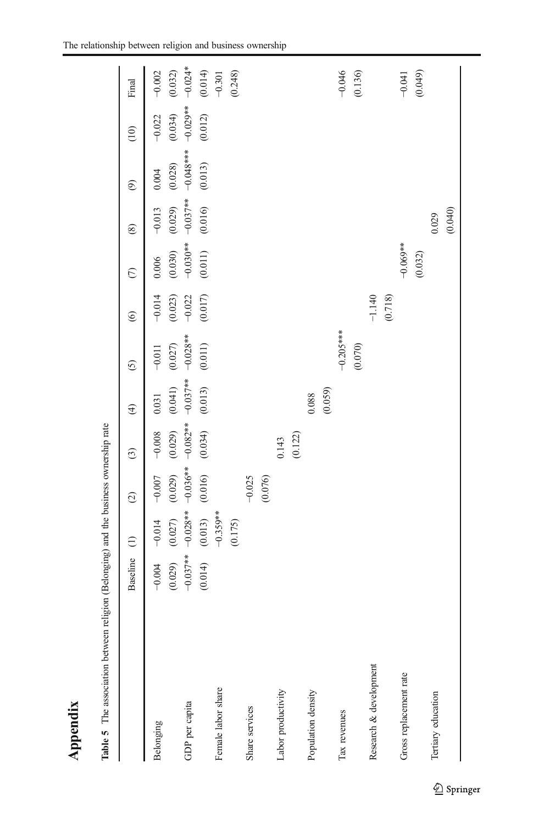<span id="page-20-0"></span>

| Table 5 The association between religion (Belonging) and the business ownership rate |              |            |          |          |                          |             |                   |                         |               |                |          |          |
|--------------------------------------------------------------------------------------|--------------|------------|----------|----------|--------------------------|-------------|-------------------|-------------------------|---------------|----------------|----------|----------|
|                                                                                      | Baseline (1) |            | $\odot$  | $\odot$  | $\widehat{\mathfrak{t}}$ | <u>ර</u>    | $\widehat{\circ}$ | $\widehat{\mathcal{C}}$ | $\circledast$ | $\circledcirc$ | (10)     | Final    |
| Belonging                                                                            | $-0.004$     | $-0.014$   | $-0.007$ | $-0.008$ | 0.031                    | $-0.011$    | $-0.014$          | 0.006                   | $-0.013$      | 0.004          | $-0.022$ | $-0.002$ |
|                                                                                      | (0.029)      | (0.027)    | (0.029)  | (0.029)  | (0.041)                  | (0.027)     | (0.023)           | (0.030)                 | (0.029)       | (0.028)        | (0.034)  | (0.032)  |
| GDP per capita                                                                       |              |            |          |          |                          |             | $-0.022$          |                         |               |                |          |          |
|                                                                                      | (0.014)      | (0.013)    | (0.016)  | (0.034)  | (0.013) (0.011)          |             | $(0.017)$         | (0.011)                 | (0.016)       | (0.013)        | (0.012)  | (0.014)  |
| Female labor share                                                                   |              | $-0.359**$ |          |          |                          |             |                   |                         |               |                |          | $-0.301$ |
|                                                                                      |              | (0.175)    |          |          |                          |             |                   |                         |               |                |          | (0.248)  |
| Share services                                                                       |              |            | $-0.025$ |          |                          |             |                   |                         |               |                |          |          |
|                                                                                      |              |            | (0.076)  |          |                          |             |                   |                         |               |                |          |          |
| Labor productivity                                                                   |              |            |          | 0.143    |                          |             |                   |                         |               |                |          |          |
|                                                                                      |              |            |          | (0.122)  |                          |             |                   |                         |               |                |          |          |
| Population density                                                                   |              |            |          |          | 0.088                    |             |                   |                         |               |                |          |          |
|                                                                                      |              |            |          |          | (0.059)                  |             |                   |                         |               |                |          |          |
| Tax revenues                                                                         |              |            |          |          |                          | $-0.205***$ |                   |                         |               |                |          | $-0.046$ |
|                                                                                      |              |            |          |          |                          | (0.070)     |                   |                         |               |                |          | (0.136)  |
| Research & development                                                               |              |            |          |          |                          |             | $-1.140$          |                         |               |                |          |          |
|                                                                                      |              |            |          |          |                          |             | (0.718)           |                         |               |                |          |          |
| Gross replacement rate                                                               |              |            |          |          |                          |             |                   | $-0.069**$              |               |                |          | $-0.041$ |
|                                                                                      |              |            |          |          |                          |             |                   | (0.032)                 |               |                |          | (0.049)  |
| Tertiary education                                                                   |              |            |          |          |                          |             |                   |                         | 0.029         |                |          |          |
|                                                                                      |              |            |          |          |                          |             |                   |                         | (0.040)       |                |          |          |
|                                                                                      |              |            |          |          |                          |             |                   |                         |               |                |          |          |

# Appendix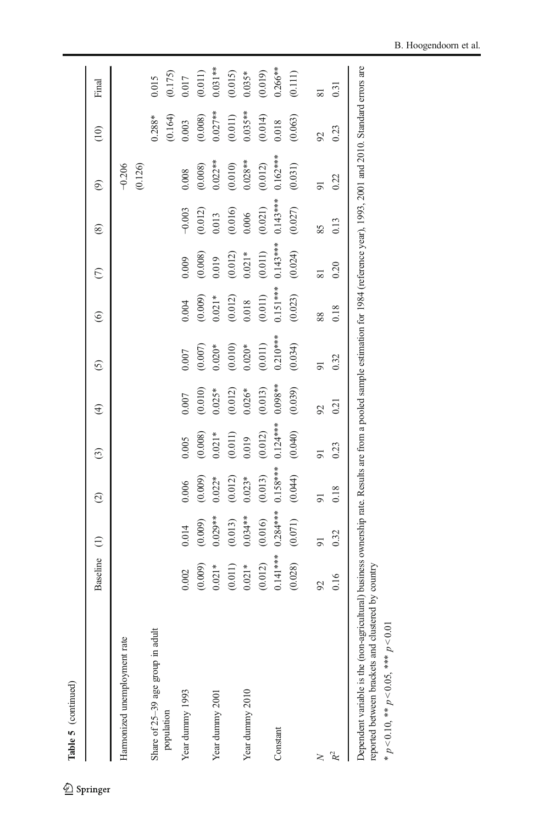| Table 5 (continued)                                                                                                                                                                                                                                                                          |                |                |                    |                |                |                |                |                 |               |                     |                     |                  |
|----------------------------------------------------------------------------------------------------------------------------------------------------------------------------------------------------------------------------------------------------------------------------------------------|----------------|----------------|--------------------|----------------|----------------|----------------|----------------|-----------------|---------------|---------------------|---------------------|------------------|
|                                                                                                                                                                                                                                                                                              | Baseline       | $\widehat{z}$  | $\widehat{\infty}$ | ල              | $\bigoplus$    | 6              | $\circledcirc$ | E               | $\circledast$ | ම                   | $\frac{10}{2}$      | Final            |
| Harmonized unemployment rate                                                                                                                                                                                                                                                                 |                |                |                    |                |                |                |                |                 |               | $-0.206$<br>(0.126) |                     |                  |
| Share of 25-39 age group in adult<br>population                                                                                                                                                                                                                                              |                |                |                    |                |                |                |                |                 |               |                     | $0.288*$<br>(0.164) | (0.175)<br>0.015 |
| Year dummy 1993                                                                                                                                                                                                                                                                              | 0.002          | 0.014          | 0.006              | 0.005          | $0.007$        | $0.007\,$      | 0.004          | 0.009           | $-0.003$      | 0.008               | 0.003               | 0.017            |
|                                                                                                                                                                                                                                                                                              | (0.009)        | (0.009)        | (0.009)            | (0.008)        | (0.010)        | (0.007)        | (0.009)        | (0.008)         | (0.012)       | (0.008)             | (0.008)             | (0.011)          |
| Year dummy 2001                                                                                                                                                                                                                                                                              | $0.021*$       | $0.029**$      | $0.022*$           | $0.021*$       | $0.025*$       | $0.020*$       | $0.021*$       | 0.019           | 0.013         | $0.022**$           | $0.027***$          | $0.031***$       |
|                                                                                                                                                                                                                                                                                              | (0.011)        | (0.013)        | (0.012)            | (0.011)        | (0.012)        | (0.010)        | (0.012)        | (0.012)         | (0.016)       | (0.010)             | (0.011)             | (0.015)          |
| Year dummy 2010                                                                                                                                                                                                                                                                              | $0.021*$       | $0.034**$      | $0.023*$           | 0.019          | $0.026*$       | $0.020*$       | $0.018\,$      | $0.021*$        | 0.006         | $0.028**$           | $0.035***$          | $0.035*$         |
|                                                                                                                                                                                                                                                                                              | (0.012)        | (0.016)        | (0.013)            | (0.012)        | (0.013)        | (0.011)        | (0.011)        | (0.011)         | (0.021)       | (0.012)             | (0.014)             | (0.019)          |
| Constant                                                                                                                                                                                                                                                                                     | $0.141***$     | $0.284***$     | $0.158***$         | $0.124***$     | $0.098**$      | $0.210***$     | $0.151***$     | $0.143***$      | $0.143***$    | $0.162***$          | 0.018               | $0.266***$       |
|                                                                                                                                                                                                                                                                                              | (0.028)        | (0.071)        | (0.044)            | (0.040)        | (0.039)        | (0.034)        | (0.023)        | (0.024)         | $(0.027)$     | (0.031)             | (0.063)             | (0.111)          |
|                                                                                                                                                                                                                                                                                              | $\overline{5}$ | $\overline{9}$ | $\overline{5}$     | $\overline{5}$ | $\overline{5}$ | $\overline{9}$ | 88             | $\overline{81}$ | 85            | 51                  | $\overline{6}$      | $\overline{81}$  |
|                                                                                                                                                                                                                                                                                              | 0.16           | 0.32           | 0.18               | 0.23           | 0.21           | 0.32           | 0.18           | 0.20            | 0.13          | 0.22                | 0.23                | 0.31             |
| Dependent variable is the (non-agricultural) business ownership rate. Results are from a pooled sample estimation for 1984 (reference year), 1993, 2001 and 2010. Standard errors are<br>reported between brackets and clustered by country<br>* $p < 0.10$ , ** $p < 0.05$ , *** $p < 0.01$ |                |                |                    |                |                |                |                |                 |               |                     |                     |                  |

B. Hoogendoorn et al.

 $\underline{\textcircled{\tiny 2}}$  Springer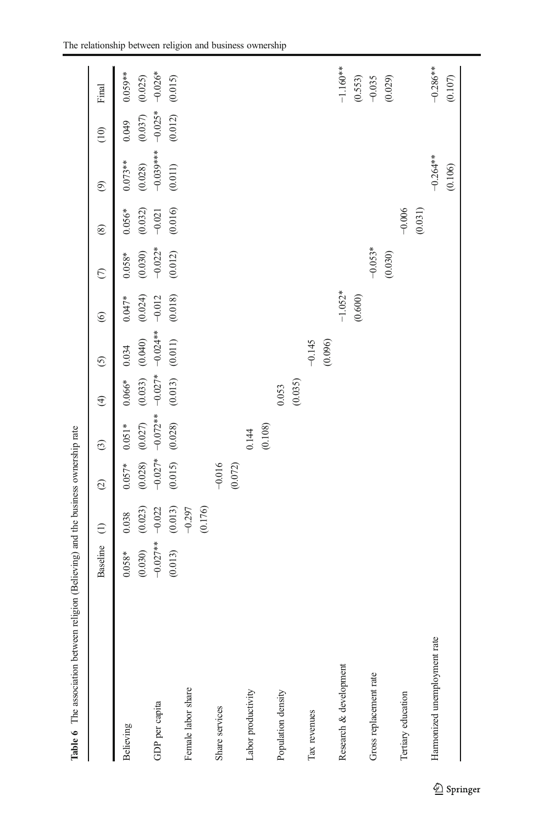<span id="page-22-0"></span>

|                              | Baseline (1) |          | $\odot$   | $\odot$    | $\widehat{\mathcal{F}}$ | $\odot$    | $\circledcirc$ | $\odot$   | $\circledast$ | $\circledcirc$ | $\begin{pmatrix} 1 & 0 \\ 0 & 0 \end{pmatrix}$ | Final      |
|------------------------------|--------------|----------|-----------|------------|-------------------------|------------|----------------|-----------|---------------|----------------|------------------------------------------------|------------|
| Believing                    | $0.058*$     | 0.038    | $0.057*$  | $0.051*$   | $0.066*$                | 0.034      | $0.047*$       | $0.058*$  | $0.056*$      | $0.073**$      | 0.049                                          | $0.059**$  |
|                              | (0.030)      | (0.023)  | (0.028)   | $(0.027)$  | (0.033)                 | (0.040)    | (0.024)        | (0.030)   | (0.032)       | (0.028)        | (0.037)                                        | (0.025)    |
| GDP per capita               | $-0.027**$   | $-0.022$ | $-0.027*$ | $-0.072**$ | $-0.027*$               | $-0.024**$ | $-0.012$       | $-0.022*$ | $-0.021$      | $-0.039***$    | $-0.025*$                                      | $-0.026*$  |
|                              | (0.013)      | (0.013)  | (0.015)   | (0.028)    | (0.013)                 | (0.011)    | (0.018)        | (0.012)   | (0.016)       | (0.011)        | (0.012)                                        | (0.015)    |
| Female labor share           |              | $-0.297$ |           |            |                         |            |                |           |               |                |                                                |            |
|                              |              | (0.176)  |           |            |                         |            |                |           |               |                |                                                |            |
| Share services               |              |          | $-0.016$  |            |                         |            |                |           |               |                |                                                |            |
|                              |              |          | (0.072)   |            |                         |            |                |           |               |                |                                                |            |
| Labor productivity           |              |          |           | 0.144      |                         |            |                |           |               |                |                                                |            |
|                              |              |          |           | (0.108)    |                         |            |                |           |               |                |                                                |            |
| Population density           |              |          |           |            | 0.053                   |            |                |           |               |                |                                                |            |
|                              |              |          |           |            | (0.035)                 |            |                |           |               |                |                                                |            |
| Tax revenues                 |              |          |           |            |                         | $-0.145$   |                |           |               |                |                                                |            |
|                              |              |          |           |            |                         | (0.096)    |                |           |               |                |                                                |            |
| Research & development       |              |          |           |            |                         |            | $-1.052*$      |           |               |                |                                                | $-1.160**$ |
|                              |              |          |           |            |                         |            | (0.600)        |           |               |                |                                                | (0.553)    |
| Gross replacement rate       |              |          |           |            |                         |            |                | $-0.053*$ |               |                |                                                | $-0.035$   |
|                              |              |          |           |            |                         |            |                | (0.030)   |               |                |                                                | (0.029)    |
| Tertiary education           |              |          |           |            |                         |            |                |           | $-0.006$      |                |                                                |            |
|                              |              |          |           |            |                         |            |                |           | (0.031)       |                |                                                |            |
| Harmonized unemployment rate |              |          |           |            |                         |            |                |           |               | $-0.264**$     |                                                | $-0.286**$ |
|                              |              |          |           |            |                         |            |                |           |               | (0.106)        |                                                | $(0.107)$  |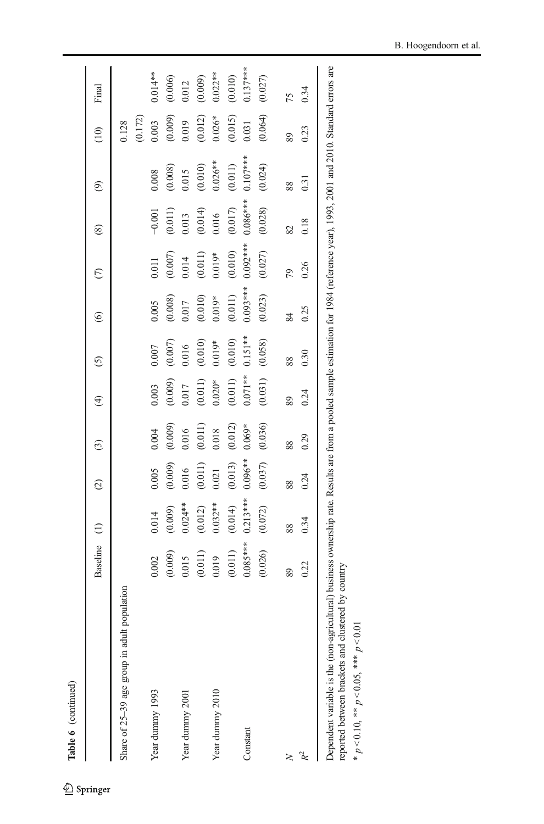|                                              | Baseline   | Ξ          | $\widehat{\circ}$ | ල        | €         | ତି         | ⊚          | E          | ⊗          | ම          | (10)             | Final      |
|----------------------------------------------|------------|------------|-------------------|----------|-----------|------------|------------|------------|------------|------------|------------------|------------|
| Share of 25-39 age group in adult population |            |            |                   |          |           |            |            |            |            |            | (0.172)<br>0.128 |            |
| Year dummy 1993                              | 0.002      | 0.014      | 0.005             | 0.004    | 0.003     | 0.007      | 0.005      | 0.011      | $-0.001$   | 0.008      | 0.003            | $0.014**$  |
|                                              | (0.009)    | (0.009)    | (0.009)           | (0.009)  | (0.009)   | (0.007)    | (0.008)    | (0.007)    | (0.011)    | (0.008)    | (0.009)          | (0.006)    |
| Year dummy 2001                              | 0.015      | $0.024**$  | 0.016             | 0.016    | 0.017     | 0.016      | 0.017      | 0.014      | 0.013      | 0.015      | 0.019            | 0.012      |
|                                              | (0.011)    | (0.012)    | (0.011)           | (0.011)  | (0.011)   | (0.010)    | (0.010)    | (0.011)    | (0.014)    | (0.010)    | (0.012)          | (0.009)    |
| Year dummy 2010                              | 0.019      | $0.032**$  | 0.021             | 0.018    | $0.020*$  | $0.019*$   | $0.019*$   | $0.019*$   | 0.016      | $0.026**$  | $0.026*$         | $0.022**$  |
|                                              | (0.011)    | (0.014)    | (0.013)           | (0.012)  | (0.011)   | (0.010)    | (0.011)    | (0.010)    | $(0.017)$  | (0.011)    | (0.015)          | (0.010)    |
| Constant                                     | $0.085***$ | $0.213***$ | $0.096**$         | $0.069*$ | $0.071**$ | $0.151***$ | $0.093***$ | $0.092***$ | $0.086***$ | $0.107***$ | 0.031            | $0.137***$ |
|                                              | (0.026)    | (0.072)    | (0.037)           | (0.036)  | (0.031)   | (0.058)    | (0.023)    | (0.027)    | (0.028)    | (0.024)    | (0.064)          | (0.027)    |
|                                              | 89         | 88         | 88                | 88       | 89        | 88         | 84         | 79         | 82         | 88         | 89               | 75         |
|                                              | 0.22       | 0.34       | 0.24              | 0.29     | 0.24      | 0.30       | 0.25       | 0.26       | 0.18       | 0.31       | 0.23             | 0.34       |

reported between brackets and clustered by country reported between brackets and clustered by country<br>  $*_p < 0.10, \; ^{**}_p < 0.05, \; ^{***}_p < 0.01$ 

\*  $p < 0.10$ , \*\*  $p < 0.05$ , \*\*\*  $p < 0.01$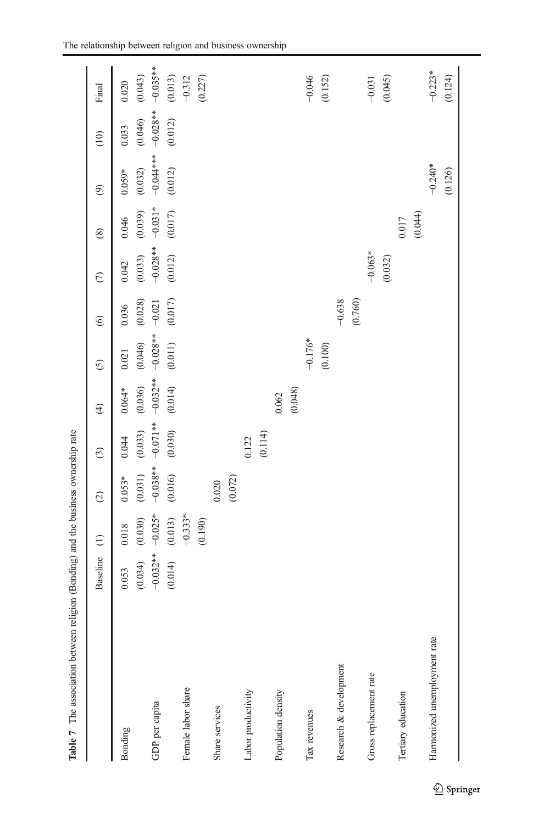<span id="page-24-0"></span>

| Table 7 The association between religion (Bonding) and the business ownership rate |              |           |          |                     |                         |                        |                |            |             |                |                                                |             |
|------------------------------------------------------------------------------------|--------------|-----------|----------|---------------------|-------------------------|------------------------|----------------|------------|-------------|----------------|------------------------------------------------|-------------|
|                                                                                    | Baseline (1) |           | $\odot$  | $\odot$             | $\widehat{\mathcal{F}}$ | $\odot$                | $\circledcirc$ | $\odot$    | $\circledS$ | $\circledcirc$ | $\begin{pmatrix} 1 & 0 \\ 0 & 1 \end{pmatrix}$ | Final       |
| Bonding                                                                            | 0.053        | 0.018     | $0.053*$ | 0.044               | $0.064*$                | 0.021                  | 0.036          | 0.042      | 0.046       | $0.059*$       | 0.033                                          | 0.020       |
|                                                                                    | (0.034)      | (0.030)   | (0.031)  | (0.033)             | (0.036)                 | (0.046)                | (0.028)        | (0.033)    | (0.039)     | (0.032)        | (0.046)                                        | (0.043)     |
| GDP per capita                                                                     | $-0.032**$   | $-0.025*$ |          | $-0.038** -0.071**$ |                         | $-0.032***$ $-0.028**$ | $-0.021$       | $-0.028**$ | $-0.031*$   | $-0.044**$     | $-0.028**$                                     | $-0.035***$ |
|                                                                                    | (0.014)      | (0.013)   | (0.016)  | (0.030)             | (0.014)                 | (0.011)                | (0.017)        | (0.012)    | $(0.017)$   | (0.012)        | (0.012)                                        | (0.013)     |
| Female labor share                                                                 |              | $-0.333*$ |          |                     |                         |                        |                |            |             |                |                                                | $-0.312$    |
|                                                                                    |              | (0.190)   |          |                     |                         |                        |                |            |             |                |                                                | (0.227)     |
| Share services                                                                     |              |           | 0.020    |                     |                         |                        |                |            |             |                |                                                |             |
|                                                                                    |              |           | (0.072)  |                     |                         |                        |                |            |             |                |                                                |             |
| Labor productivity                                                                 |              |           |          | 0.122               |                         |                        |                |            |             |                |                                                |             |
|                                                                                    |              |           |          | (0.114)             |                         |                        |                |            |             |                |                                                |             |
| Population density                                                                 |              |           |          |                     | 0.062                   |                        |                |            |             |                |                                                |             |
|                                                                                    |              |           |          |                     | (0.048)                 |                        |                |            |             |                |                                                |             |
| Tax revenues                                                                       |              |           |          |                     |                         | $-0.176*$              |                |            |             |                |                                                | $-0.046$    |
|                                                                                    |              |           |          |                     |                         | (0.100)                |                |            |             |                |                                                | (0.152)     |
| Research & development                                                             |              |           |          |                     |                         |                        | $-0.638$       |            |             |                |                                                |             |
|                                                                                    |              |           |          |                     |                         |                        | (0.760)        |            |             |                |                                                |             |
| Gross replacement rate                                                             |              |           |          |                     |                         |                        |                | $-0.063*$  |             |                |                                                | $-0.031$    |
|                                                                                    |              |           |          |                     |                         |                        |                | (0.032)    |             |                |                                                | (0.045)     |
| Tertiary education                                                                 |              |           |          |                     |                         |                        |                |            | 0.017       |                |                                                |             |
|                                                                                    |              |           |          |                     |                         |                        |                |            | (0.044)     |                |                                                |             |
| Harmonized unemployment rate                                                       |              |           |          |                     |                         |                        |                |            |             | $-0.240*$      |                                                | $-0.223*$   |
|                                                                                    |              |           |          |                     |                         |                        |                |            |             | (0.126)        |                                                | (0.124)     |
|                                                                                    |              |           |          |                     |                         |                        |                |            |             |                |                                                |             |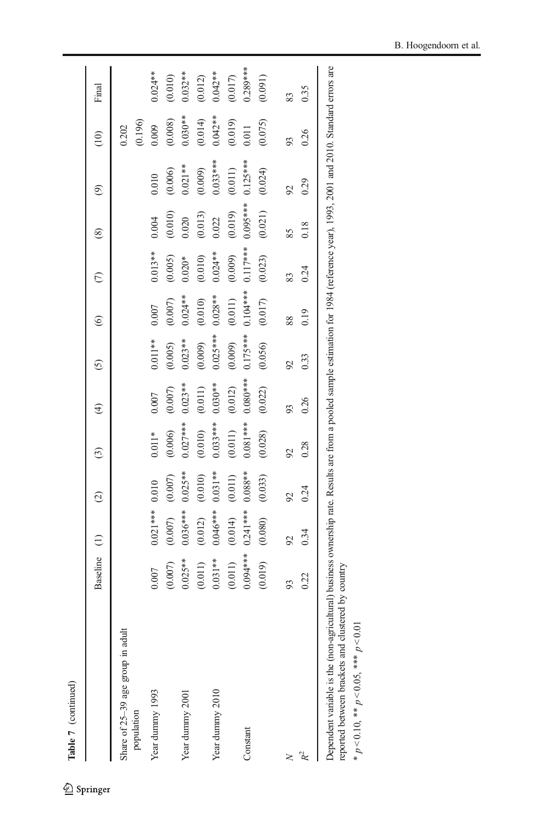|                                                 | Baseline   | $\widehat{\Xi}$ | $\widehat{\omega}$ | ල          | E          | ତି         | ତି         | E          | $\circledast$ | ම          | $\frac{1}{2}$    | Final      |
|-------------------------------------------------|------------|-----------------|--------------------|------------|------------|------------|------------|------------|---------------|------------|------------------|------------|
|                                                 |            |                 |                    |            |            |            |            |            |               |            |                  |            |
| Share of 25-39 age group in adult<br>population |            |                 |                    |            |            |            |            |            |               |            | 0.202            |            |
| Year dummy 1993                                 | 0.007      | $0.021***$      | 0.010              | $0.011*$   | 0.007      | $0.011***$ | $0.007$    | $0.013**$  | 0.004         | 0.010      | (0.196)<br>0.009 | $0.024**$  |
|                                                 | (0.007)    | $(0.007)$       | (0.007)            | (0.006)    | (0.007)    | (0.005)    | (0.007)    | (0.005)    | (0.010)       | (0.006)    | (0.008)          | (0.010)    |
| Year dunnny 2001                                | $0.025***$ | $0.036***$      | $0.025***$         | $0.027***$ | $0.023**$  | $0.023**$  | $0.024**$  | $0.020*$   | 0.020         | $0.021***$ | $0.030**$        | $0.032**$  |
|                                                 | (0.011)    | (0.012)         | (0.010)            | (0.010)    | (0.011)    | (0.009)    | (0.010)    | (0.010)    | (0.013)       | (0.009)    | (0.014)          | (0.012)    |
| Year dummy 2010                                 | $0.031**$  | $0.046***$      | $0.031**$          | $0.033***$ | $0.030**$  | $0.025***$ | $0.028**$  | $0.024**$  | 0.022         | $0.033***$ | $0.042**$        | $0.042**$  |
|                                                 | (0.011)    | (0.014)         | (0.011)            | (0.011)    | (0.012)    | (0.009)    | (0.011)    | (0.009)    | (0.019)       | (0.011)    | (0.019)          | (0.017)    |
| Constant                                        | $0.094***$ | $0.241***$      | $0.088**$          | $0.081***$ | $0.080***$ | $0.175***$ | $0.104***$ | $0.117***$ | $0.095***$    | $0.125***$ | 0.011            | $0.289***$ |
|                                                 | (0.019)    | (0.080)         | (0.033)            | (0.028)    | (0.022)    | (0.056)    | $(0.017)$  | (0.023)    | (0.021)       | (0.024)    | (0.075)          | (0.091)    |
|                                                 | 93         | $\overline{5}$  | 92                 | 92         | 93         | 92         | 88         | 83         | 85            | 92         | 93               | 83         |
|                                                 | 0.22       | 0.34            | 0.24               | 0.28       | 0.26       | 0.33       | 0.19       | 0.24       | 0.18          | 0.29       | 0.26             | 0.35       |

reported between brackets and clustered by country reported between brackets and clustered by country<br>  $*_p < 0.10, **_p < 0.05, **_p < 0.01$ 

\*  $p < 0.10$ , \*\*  $p < 0.05$ , \*\*\*  $p < 0.01$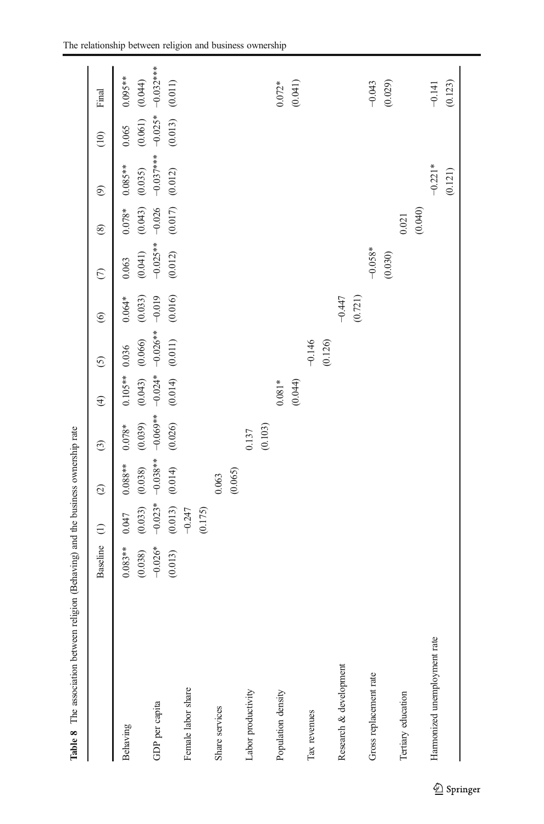<span id="page-26-0"></span>

|                              | Baseline (1) |           | $\odot$   | $\odot$                      | $\widehat{\mathcal{F}}$ | $\odot$   | $\odot$  | $\epsilon$ | $\circledS$ | $\circledcirc$                        | $\begin{pmatrix} 10 \\ 1 \end{pmatrix}$ | Final     |
|------------------------------|--------------|-----------|-----------|------------------------------|-------------------------|-----------|----------|------------|-------------|---------------------------------------|-----------------------------------------|-----------|
| Behaving                     | $0.083***$   | 0.047     | $0.088**$ | $0.078*$                     | $0.105***$              | 0.036     | $0.064*$ | 0.063      | $0.078*$    | $0.085**$                             | 0.065                                   | $0.095**$ |
|                              | (0.038)      | (0.033)   | (0.038)   | (0.039)                      | (0.043)                 | (0.066)   | (0.033)  | (0.041)    | (0.043)     | (0.035)                               | (0.061)                                 | (0.044)   |
| GDP per capita               | $-0.026*$    | $-0.023*$ |           | ** \$88* 0000 00000 000000 + |                         |           | $-0.019$ | $-0.025**$ | $-0.026$    | $-0.037$ **** $-0.025$ * $-0.032$ *** |                                         |           |
|                              | (0.013)      | (0.013)   | (0.014)   | (0.026)                      | (0.014)                 | $(0.011)$ | (0.016)  | (0.012)    | (0.017)     | (0.012)                               | (0.013)                                 | (0.011)   |
| Female labor share           |              | $-0.247$  |           |                              |                         |           |          |            |             |                                       |                                         |           |
|                              |              | (0.175)   |           |                              |                         |           |          |            |             |                                       |                                         |           |
| Share services               |              |           | 0.063     |                              |                         |           |          |            |             |                                       |                                         |           |
|                              |              |           | (0.065)   |                              |                         |           |          |            |             |                                       |                                         |           |
| Labor productivity           |              |           |           | 0.137                        |                         |           |          |            |             |                                       |                                         |           |
|                              |              |           |           | (0.103)                      |                         |           |          |            |             |                                       |                                         |           |
| Population density           |              |           |           |                              | $0.081*$                |           |          |            |             |                                       |                                         | $0.072*$  |
|                              |              |           |           |                              | (0.044)                 |           |          |            |             |                                       |                                         | (0.041)   |
| Tax revenues                 |              |           |           |                              |                         | $-0.146$  |          |            |             |                                       |                                         |           |
|                              |              |           |           |                              |                         | (0.126)   |          |            |             |                                       |                                         |           |
| Research & development       |              |           |           |                              |                         |           | $-0.447$ |            |             |                                       |                                         |           |
|                              |              |           |           |                              |                         |           | (0.721)  |            |             |                                       |                                         |           |
| Gross replacement rate       |              |           |           |                              |                         |           |          | $-0.058*$  |             |                                       |                                         | $-0.043$  |
|                              |              |           |           |                              |                         |           |          | (0.030)    |             |                                       |                                         | (0.029)   |
| Tertiary education           |              |           |           |                              |                         |           |          |            | 0.021       |                                       |                                         |           |
|                              |              |           |           |                              |                         |           |          |            | (0.040)     |                                       |                                         |           |
| Harmonized unemployment rate |              |           |           |                              |                         |           |          |            |             | $-0.221*$                             |                                         | $-0.141$  |
|                              |              |           |           |                              |                         |           |          |            |             | (0.121)                               |                                         | (0.123)   |
|                              |              |           |           |                              |                         |           |          |            |             |                                       |                                         |           |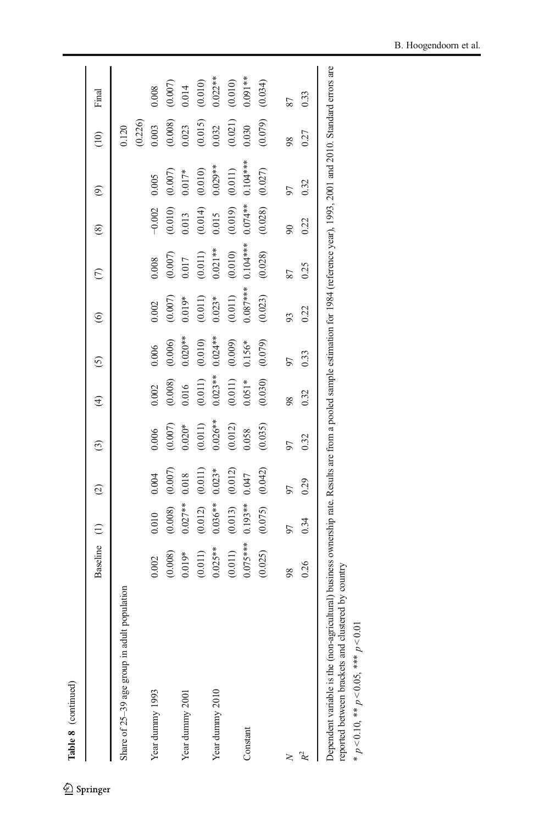|                                              | Baseline   |           | ପି       | ල          | ⊕         | <u> ර</u> | ම          | E          | <u>ଚ</u>  | ම          | (10)             | Final     |
|----------------------------------------------|------------|-----------|----------|------------|-----------|-----------|------------|------------|-----------|------------|------------------|-----------|
| Share of 25-39 age group in adult population |            |           |          |            |           |           |            |            |           |            | (0.226)<br>0.120 |           |
| Year dummy 1993                              | 0.002      | 0.010     | 0.004    | 0.006      | 0.002     | 0.006     | 0.002      | 0.008      | $-0.002$  | 0.005      | 0.003            | 0.008     |
|                                              | (0.008)    | (0.008)   | (0.007)  | (0.007)    | (0.008)   | (0.006)   | (0.007)    | $(0.007)$  | (0.010)   | (0.007)    | (0.008)          | (0.007)   |
| Year dummy 2001                              | $0.019*$   | $0.027**$ | 0.018    | $0.020*$   | 0.016     | $0.020**$ | $0.019*$   | 1.017      | 0.013     | $0.017*$   | 0.023            | 0.014     |
|                                              | (0.011)    | (0.012)   | (0.011)  | (0.011)    | (0.011)   | (0.010)   | (0.011)    | (0.011)    | (0.014)   | (0.010)    | (0.015)          | (0.010)   |
| Year dummy 2010                              | $0.025***$ | $0.036**$ | $0.023*$ | $0.026***$ | $0.023**$ | $0.024**$ | $0.023*$   | $0.021***$ | 0.015     | $0.029**$  | 0.032            | $0.022**$ |
|                                              | (0.011)    | (0.013)   | (0.012)  | (0.012)    | (0.011)   | (0.009)   | (0.011)    | (0.010)    | (0.019)   | (0.011)    | (0.021)          | (0.010)   |
| Constant                                     | $0.075***$ | $0.193**$ | 0.047    | 0.058      | $0.051*$  | $0.156*$  | $0.087***$ | $0.104***$ | $0.074**$ | $0.104***$ | 0.030            | $0.091**$ |
|                                              | (0.025)    | (0.075)   | (0.042)  | (0.035)    | (0.030)   | (0.079)   | (0.023)    | (0.028)    | (0.028)   | (0.027)    | (0.079)          | (0.034)   |
|                                              | 98         | 97        | 97       | 97         | 98        | 56        | 93         | 87         | $\infty$  | 56         | 98               | 87        |
|                                              | 0.26       | 0.34      | 0.29     | 0.32       | 0.32      | 0.33      | 0.22       | 0.25       | 0.22      | 0.32       | 0.27             | 0.33      |

reported between brackets and clustered by country reported between brackets and clustered by country<br>  $*_p < 0.10, \; ^{**}_p < 0.05, \; ^{***}_p < 0.01$ 

\*  $p < 0.10$ , \*\*  $p < 0.05$ , \*\*\*  $p < 0.01$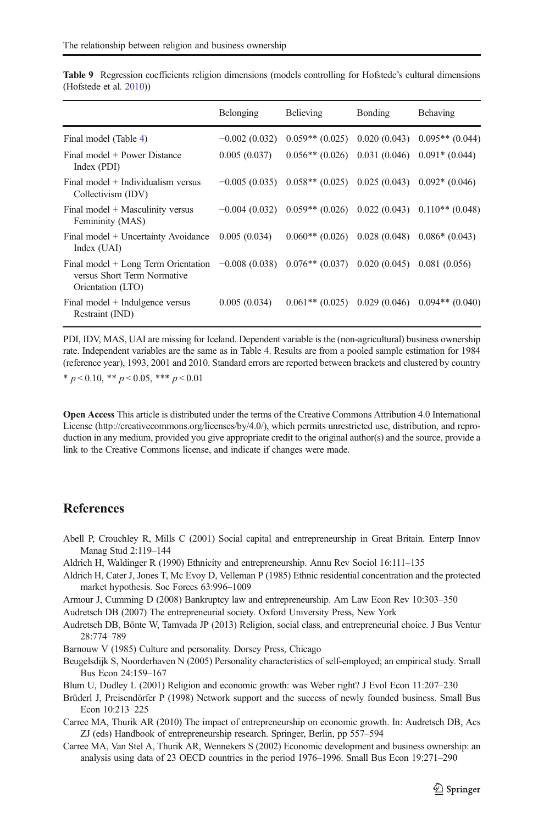|                                                                                                                                                       | Belonging    | <b>Believing</b>                                                 | <b>Bonding</b> | <b>Behaving</b> |
|-------------------------------------------------------------------------------------------------------------------------------------------------------|--------------|------------------------------------------------------------------|----------------|-----------------|
| Final model (Table 4)                                                                                                                                 |              | $-0.002(0.032)$ $0.059**(0.025)$ $0.020(0.043)$ $0.095**(0.044)$ |                |                 |
| Final model + Power Distance<br>Index (PDI)                                                                                                           | 0.005(0.037) | $0.056**$ (0.026) 0.031 (0.046) 0.091* (0.044)                   |                |                 |
| Final model $+$ Individualism versus<br>Collectivism (IDV)                                                                                            |              | $-0.005(0.035)$ $0.058**(0.025)$ $0.025(0.043)$ $0.092*(0.046)$  |                |                 |
| Final model $+$ Masculinity versus<br>Femininity (MAS)                                                                                                |              | $-0.004(0.032)$ $0.059**(0.026)$ $0.022(0.043)$ $0.110**(0.048)$ |                |                 |
| Final model + Uncertainty Avoidance $0.005(0.034)$<br>Index (UAI)                                                                                     |              | $0.060**$ (0.026) 0.028 (0.048) 0.086* (0.043)                   |                |                 |
| Final model + Long Term Orientation $-0.008(0.038)$ $0.076**$ (0.037) 0.020 (0.045) 0.081 (0.056)<br>versus Short Term Normative<br>Orientation (LTO) |              |                                                                  |                |                 |
| Final model $+$ Indulgence versus<br>Restraint (IND)                                                                                                  | 0.005(0.034) | $0.061**$ (0.025) 0.029 (0.046) 0.094** (0.040)                  |                |                 |

<span id="page-28-0"></span>Table 9 Regression coefficients religion dimensions (models controlling for Hofstede's cultural dimensions (Hofstede et al. [2010\)](#page-29-0))

PDI, IDV, MAS, UAI are missing for Iceland. Dependent variable is the (non-agricultural) business ownership rate. Independent variables are the same as in Table [4](#page-15-0). Results are from a pooled sample estimation for 1984 (reference year), 1993, 2001 and 2010. Standard errors are reported between brackets and clustered by country  $* p < 0.10, ** p < 0.05, *** p < 0.01$ 

Open Access This article is distributed under the terms of the Creative Commons Attribution 4.0 International License (http://creativecommons.org/licenses/by/4.0/), which permits unrestricted use, distribution, and reproduction in any medium, provided you give appropriate credit to the original author(s) and the source, provide a link to the Creative Commons license, and indicate if changes were made.

### **References**

- Abell P, Crouchley R, Mills C (2001) Social capital and entrepreneurship in Great Britain. Enterp Innov Manag Stud 2:119–144
- Aldrich H, Waldinger R (1990) Ethnicity and entrepreneurship. Annu Rev Sociol 16:111–135
- Aldrich H, Cater J, Jones T, Mc Evoy D, Velleman P (1985) Ethnic residential concentration and the protected market hypothesis. Soc Forces 63:996–1009
- Armour J, Cumming D (2008) Bankruptcy law and entrepreneurship. Am Law Econ Rev 10:303–350

Audretsch DB (2007) The entrepreneurial society. Oxford University Press, New York

- Audretsch DB, Bönte W, Tamvada JP (2013) Religion, social class, and entrepreneurial choice. J Bus Ventur 28:774–789
- Barnouw V (1985) Culture and personality. Dorsey Press, Chicago
- Beugelsdijk S, Noorderhaven N (2005) Personality characteristics of self-employed; an empirical study. Small Bus Econ 24:159–167
- Blum U, Dudley L (2001) Religion and economic growth: was Weber right? J Evol Econ 11:207–230
- Brüderl J, Preisendörfer P (1998) Network support and the success of newly founded business. Small Bus Econ 10:213–225
- Carree MA, Thurik AR (2010) The impact of entrepreneurship on economic growth. In: Audretsch DB, Acs ZJ (eds) Handbook of entrepreneurship research. Springer, Berlin, pp 557–594
- Carree MA, Van Stel A, Thurik AR, Wennekers S (2002) Economic development and business ownership: an analysis using data of 23 OECD countries in the period 1976–1996. Small Bus Econ 19:271–290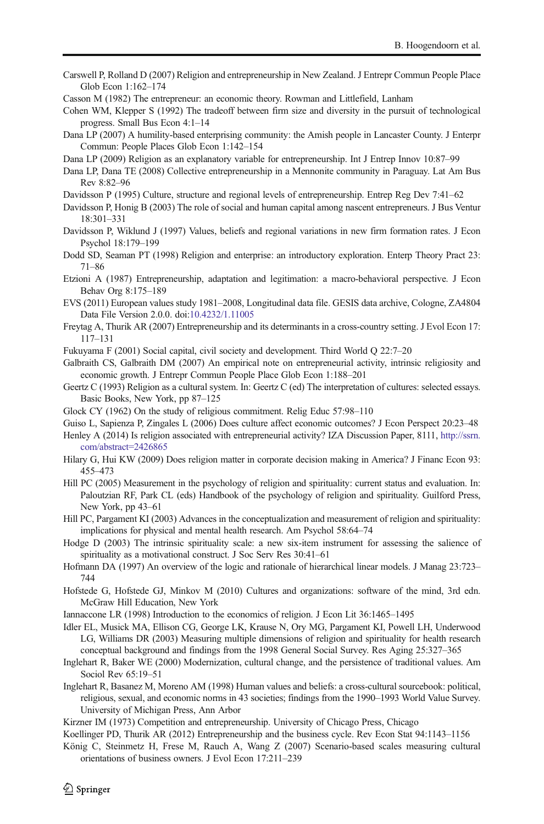<span id="page-29-0"></span>Carswell P, Rolland D (2007) Religion and entrepreneurship in New Zealand. J Entrepr Commun People Place Glob Econ 1:162–174

Casson M (1982) The entrepreneur: an economic theory. Rowman and Littlefield, Lanham

- Cohen WM, Klepper S (1992) The tradeoff between firm size and diversity in the pursuit of technological progress. Small Bus Econ 4:1–14
- Dana LP (2007) A humility-based enterprising community: the Amish people in Lancaster County. J Enterpr Commun: People Places Glob Econ 1:142–154
- Dana LP (2009) Religion as an explanatory variable for entrepreneurship. Int J Entrep Innov 10:87–99
- Dana LP, Dana TE (2008) Collective entrepreneurship in a Mennonite community in Paraguay. Lat Am Bus Rev 8:82–96
- Davidsson P (1995) Culture, structure and regional levels of entrepreneurship. Entrep Reg Dev 7:41–62
- Davidsson P, Honig B (2003) The role of social and human capital among nascent entrepreneurs. J Bus Ventur 18:301–331
- Davidsson P, Wiklund J (1997) Values, beliefs and regional variations in new firm formation rates. J Econ Psychol 18:179–199
- Dodd SD, Seaman PT (1998) Religion and enterprise: an introductory exploration. Enterp Theory Pract 23: 71–86
- Etzioni A (1987) Entrepreneurship, adaptation and legitimation: a macro-behavioral perspective. J Econ Behav Org 8:175–189
- EVS (2011) European values study 1981–2008, Longitudinal data file. GESIS data archive, Cologne, ZA4804 Data File Version 2.0.0. doi[:10.4232/1.11005](http://dx.doi.org/10.4232/1.11005)
- Freytag A, Thurik AR (2007) Entrepreneurship and its determinants in a cross-country setting. J Evol Econ 17: 117–131
- Fukuyama F (2001) Social capital, civil society and development. Third World Q 22:7–20
- Galbraith CS, Galbraith DM (2007) An empirical note on entrepreneurial activity, intrinsic religiosity and economic growth. J Entrepr Commun People Place Glob Econ 1:188–201
- Geertz C (1993) Religion as a cultural system. In: Geertz C (ed) The interpretation of cultures: selected essays. Basic Books, New York, pp 87–125
- Glock CY (1962) On the study of religious commitment. Relig Educ 57:98–110
- Guiso L, Sapienza P, Zingales L (2006) Does culture affect economic outcomes? J Econ Perspect 20:23–48
- Henley A (2014) Is religion associated with entrepreneurial activity? IZA Discussion Paper, 8111, [http://ssrn.](http://ssrn.com/abstract=2426865) [com/abstract=2426865](http://ssrn.com/abstract=2426865)
- Hilary G, Hui KW (2009) Does religion matter in corporate decision making in America? J Financ Econ 93: 455–473
- Hill PC (2005) Measurement in the psychology of religion and spirituality: current status and evaluation. In: Paloutzian RF, Park CL (eds) Handbook of the psychology of religion and spirituality. Guilford Press, New York, pp 43–61
- Hill PC, Pargament KI (2003) Advances in the conceptualization and measurement of religion and spirituality: implications for physical and mental health research. Am Psychol 58:64–74
- Hodge D (2003) The intrinsic spirituality scale: a new six-item instrument for assessing the salience of spirituality as a motivational construct. J Soc Serv Res 30:41–61
- Hofmann DA (1997) An overview of the logic and rationale of hierarchical linear models. J Manag 23:723– 744
- Hofstede G, Hofstede GJ, Minkov M (2010) Cultures and organizations: software of the mind, 3rd edn. McGraw Hill Education, New York
- Iannaccone LR (1998) Introduction to the economics of religion. J Econ Lit 36:1465–1495
- Idler EL, Musick MA, Ellison CG, George LK, Krause N, Ory MG, Pargament KI, Powell LH, Underwood LG, Williams DR (2003) Measuring multiple dimensions of religion and spirituality for health research conceptual background and findings from the 1998 General Social Survey. Res Aging 25:327–365
- Inglehart R, Baker WE (2000) Modernization, cultural change, and the persistence of traditional values. Am Sociol Rev 65:19–51
- Inglehart R, Basanez M, Moreno AM (1998) Human values and beliefs: a cross-cultural sourcebook: political, religious, sexual, and economic norms in 43 societies; findings from the 1990–1993 World Value Survey. University of Michigan Press, Ann Arbor
- Kirzner IM (1973) Competition and entrepreneurship. University of Chicago Press, Chicago

Koellinger PD, Thurik AR (2012) Entrepreneurship and the business cycle. Rev Econ Stat 94:1143–1156 König C, Steinmetz H, Frese M, Rauch A, Wang Z (2007) Scenario-based scales measuring cultural orientations of business owners. J Evol Econ 17:211–239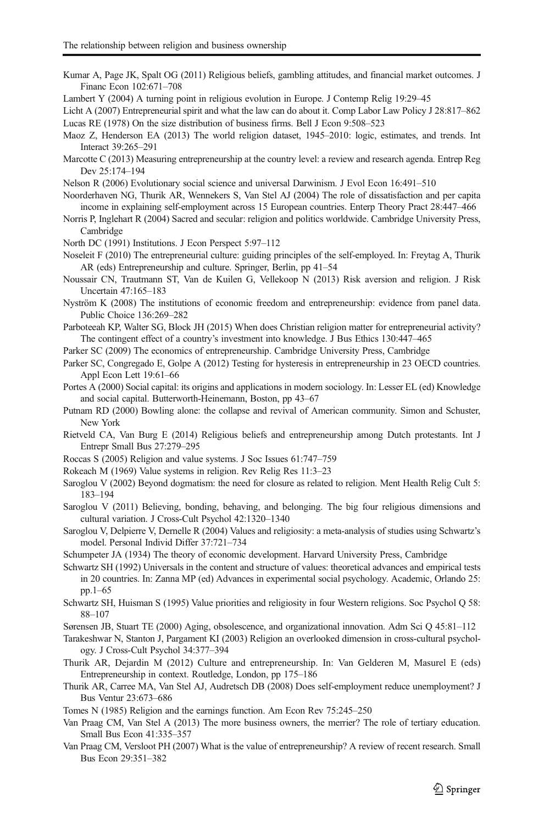- <span id="page-30-0"></span>Kumar A, Page JK, Spalt OG (2011) Religious beliefs, gambling attitudes, and financial market outcomes. J Financ Econ 102:671–708
- Lambert Y (2004) A turning point in religious evolution in Europe. J Contemp Relig 19:29–45
- Licht A (2007) Entrepreneurial spirit and what the law can do about it. Comp Labor Law Policy J 28:817–862 Lucas RE (1978) On the size distribution of business firms. Bell J Econ 9:508–523
- Maoz Z, Henderson EA (2013) The world religion dataset, 1945–2010: logic, estimates, and trends. Int Interact 39:265–291
- Marcotte C (2013) Measuring entrepreneurship at the country level: a review and research agenda. Entrep Reg Dev 25:174–194
- Nelson R (2006) Evolutionary social science and universal Darwinism. J Evol Econ 16:491–510
- Noorderhaven NG, Thurik AR, Wennekers S, Van Stel AJ (2004) The role of dissatisfaction and per capita income in explaining self-employment across 15 European countries. Enterp Theory Pract 28:447–466
- Norris P, Inglehart R (2004) Sacred and secular: religion and politics worldwide. Cambridge University Press, Cambridge
- North DC (1991) Institutions. J Econ Perspect 5:97–112
- Noseleit F (2010) The entrepreneurial culture: guiding principles of the self-employed. In: Freytag A, Thurik AR (eds) Entrepreneurship and culture. Springer, Berlin, pp 41–54
- Noussair CN, Trautmann ST, Van de Kuilen G, Vellekoop N (2013) Risk aversion and religion. J Risk Uncertain 47:165–183
- Nyström K (2008) The institutions of economic freedom and entrepreneurship: evidence from panel data. Public Choice 136:269–282
- Parboteeah KP, Walter SG, Block JH (2015) When does Christian religion matter for entrepreneurial activity? The contingent effect of a country's investment into knowledge. J Bus Ethics 130:447–465
- Parker SC (2009) The economics of entrepreneurship. Cambridge University Press, Cambridge
- Parker SC, Congregado E, Golpe A (2012) Testing for hysteresis in entrepreneurship in 23 OECD countries. Appl Econ Lett 19:61–66
- Portes A (2000) Social capital: its origins and applications in modern sociology. In: Lesser EL (ed) Knowledge and social capital. Butterworth-Heinemann, Boston, pp 43–67
- Putnam RD (2000) Bowling alone: the collapse and revival of American community. Simon and Schuster, New York
- Rietveld CA, Van Burg E (2014) Religious beliefs and entrepreneurship among Dutch protestants. Int J Entrepr Small Bus 27:279–295
- Roccas S (2005) Religion and value systems. J Soc Issues 61:747–759
- Rokeach M (1969) Value systems in religion. Rev Relig Res 11:3–23
- Saroglou V (2002) Beyond dogmatism: the need for closure as related to religion. Ment Health Relig Cult 5: 183–194
- Saroglou V (2011) Believing, bonding, behaving, and belonging. The big four religious dimensions and cultural variation. J Cross-Cult Psychol 42:1320–1340
- Saroglou V, Delpierre V, Dernelle R (2004) Values and religiosity: a meta-analysis of studies using Schwartz's model. Personal Individ Differ 37:721–734
- Schumpeter JA (1934) The theory of economic development. Harvard University Press, Cambridge
- Schwartz SH (1992) Universals in the content and structure of values: theoretical advances and empirical tests in 20 countries. In: Zanna MP (ed) Advances in experimental social psychology. Academic, Orlando 25: pp.1–65
- Schwartz SH, Huisman S (1995) Value priorities and religiosity in four Western religions. Soc Psychol Q 58: 88–107
- Sørensen JB, Stuart TE (2000) Aging, obsolescence, and organizational innovation. Adm Sci Q 45:81–112
- Tarakeshwar N, Stanton J, Pargament KI (2003) Religion an overlooked dimension in cross-cultural psychology. J Cross-Cult Psychol 34:377–394
- Thurik AR, Dejardin M (2012) Culture and entrepreneurship. In: Van Gelderen M, Masurel E (eds) Entrepreneurship in context. Routledge, London, pp 175–186
- Thurik AR, Carree MA, Van Stel AJ, Audretsch DB (2008) Does self-employment reduce unemployment? J Bus Ventur 23:673–686
- Tomes N (1985) Religion and the earnings function. Am Econ Rev 75:245–250
- Van Praag CM, Van Stel A (2013) The more business owners, the merrier? The role of tertiary education. Small Bus Econ 41:335–357
- Van Praag CM, Versloot PH (2007) What is the value of entrepreneurship? A review of recent research. Small Bus Econ 29:351–382